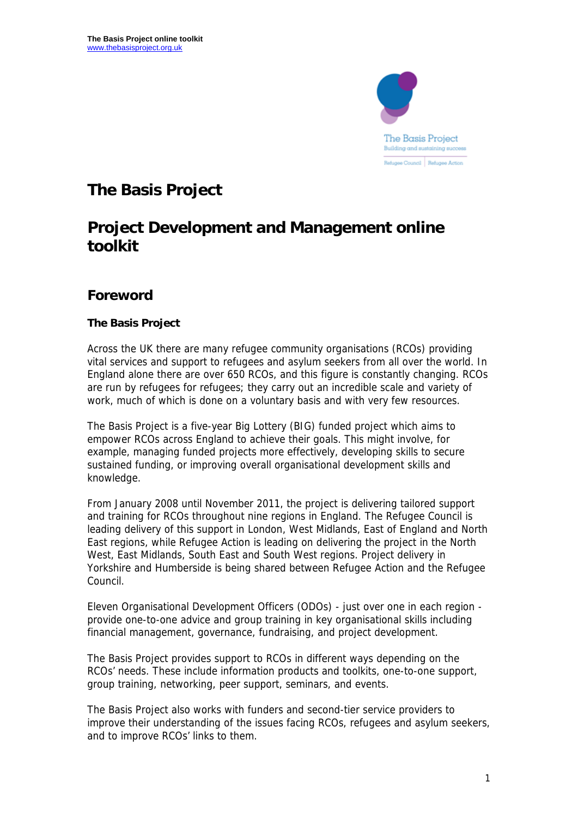

# **The Basis Project**

# **Project Development and Management online toolkit**

## **Foreword**

## **The Basis Project**

Across the UK there are many refugee community organisations (RCOs) providing vital services and support to refugees and asylum seekers from all over the world. In England alone there are over 650 RCOs, and this figure is constantly changing. RCOs are run by refugees for refugees; they carry out an incredible scale and variety of work, much of which is done on a voluntary basis and with very few resources.

The Basis Project is a five-year Big Lottery (BIG) funded project which aims to empower RCOs across England to achieve their goals. This might involve, for example, managing funded projects more effectively, developing skills to secure sustained funding, or improving overall organisational development skills and knowledge.

From January 2008 until November 2011, the project is delivering tailored support and training for RCOs throughout nine regions in England. The Refugee Council is leading delivery of this support in London, West Midlands, East of England and North East regions, while Refugee Action is leading on delivering the project in the North West, East Midlands, South East and South West regions. Project delivery in Yorkshire and Humberside is being shared between Refugee Action and the Refugee Council.

Eleven Organisational Development Officers (ODOs) - just over one in each region provide one-to-one advice and group training in key organisational skills including financial management, governance, fundraising, and project development.

The Basis Project provides support to RCOs in different ways depending on the RCOs' needs. These include information products and toolkits, one-to-one support, group training, networking, peer support, seminars, and events.

The Basis Project also works with funders and second-tier service providers to improve their understanding of the issues facing RCOs, refugees and asylum seekers, and to improve RCOs' links to them.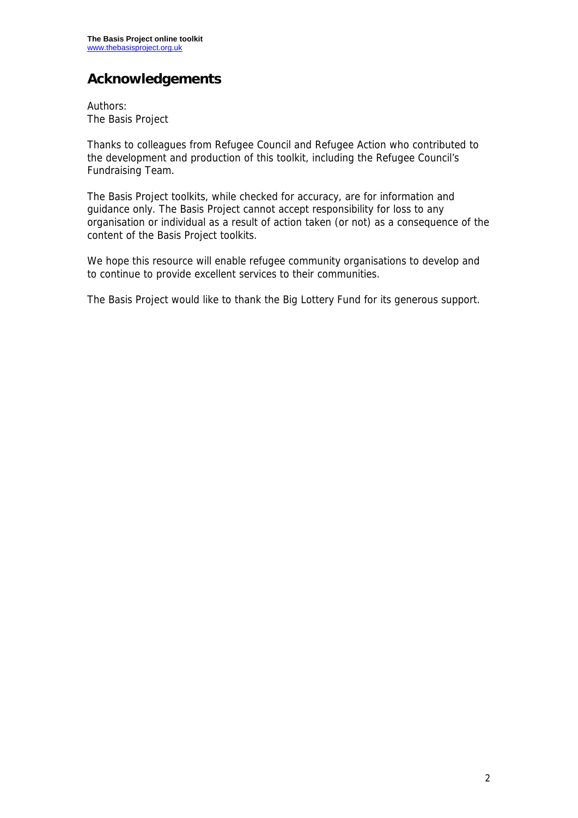# **Acknowledgements**

Authors: The Basis Project

Thanks to colleagues from Refugee Council and Refugee Action who contributed to the development and production of this toolkit, including the Refugee Council's Fundraising Team.

The Basis Project toolkits, while checked for accuracy, are for information and guidance only. The Basis Project cannot accept responsibility for loss to any organisation or individual as a result of action taken (or not) as a consequence of the content of the Basis Project toolkits.

We hope this resource will enable refugee community organisations to develop and to continue to provide excellent services to their communities.

The Basis Project would like to thank the Big Lottery Fund for its generous support.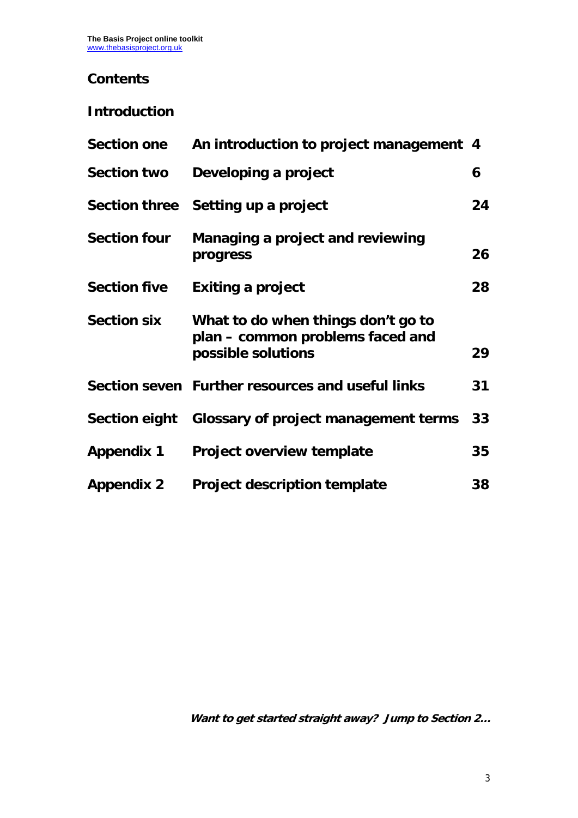## **Contents**

## **Introduction**

| <b>Section one</b>  | An introduction to project management 4                                                      |    |
|---------------------|----------------------------------------------------------------------------------------------|----|
| <b>Section two</b>  | Developing a project                                                                         | 6  |
|                     | Section three Setting up a project                                                           | 24 |
| <b>Section four</b> | Managing a project and reviewing<br>progress                                                 | 26 |
| <b>Section five</b> | <b>Exiting a project</b>                                                                     | 28 |
| <b>Section six</b>  | What to do when things don't go to<br>plan – common problems faced and<br>possible solutions | 29 |
|                     | Section seven Further resources and useful links                                             | 31 |
|                     | Section eight Glossary of project management terms                                           | 33 |
| <b>Appendix 1</b>   | <b>Project overview template</b>                                                             | 35 |
| <b>Appendix 2</b>   | <b>Project description template</b>                                                          | 38 |

**Want to get started straight away? Jump to Section 2…**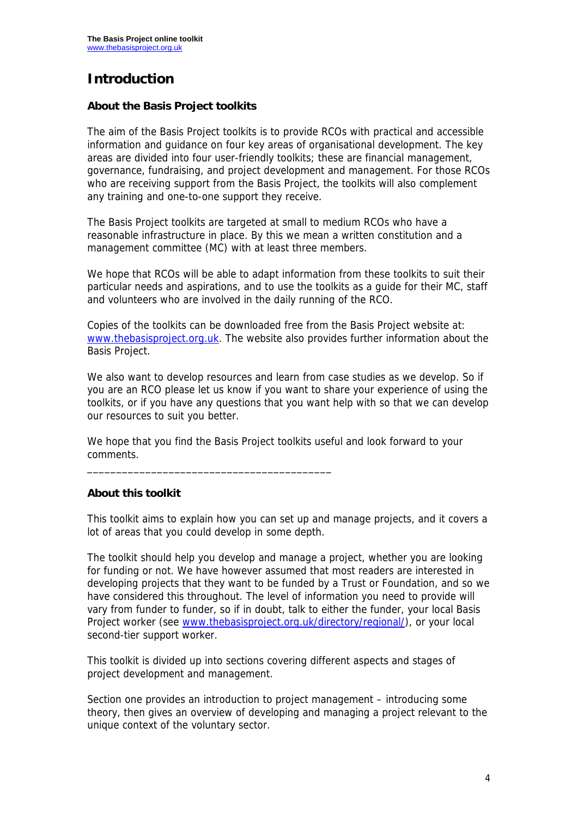# **Introduction**

### **About the Basis Project toolkits**

The aim of the Basis Project toolkits is to provide RCOs with practical and accessible information and guidance on four key areas of organisational development. The key areas are divided into four user-friendly toolkits; these are financial management, governance, fundraising, and project development and management. For those RCOs who are receiving support from the Basis Project, the toolkits will also complement any training and one-to-one support they receive.

The Basis Project toolkits are targeted at small to medium RCOs who have a reasonable infrastructure in place. By this we mean a written constitution and a management committee (MC) with at least three members.

We hope that RCOs will be able to adapt information from these toolkits to suit their particular needs and aspirations, and to use the toolkits as a guide for their MC, staff and volunteers who are involved in the daily running of the RCO.

Copies of the toolkits can be downloaded free from the Basis Project website at: www.thebasisproject.org.uk. The website also provides further information about the Basis Project.

We also want to develop resources and learn from case studies as we develop. So if you are an RCO please let us know if you want to share your experience of using the toolkits, or if you have any questions that you want help with so that we can develop our resources to suit you better.

We hope that you find the Basis Project toolkits useful and look forward to your comments.

\_\_\_\_\_\_\_\_\_\_\_\_\_\_\_\_\_\_\_\_\_\_\_\_\_\_\_\_\_\_\_\_\_\_\_\_\_\_\_\_\_\_

### **About this toolkit**

This toolkit aims to explain how you can set up and manage projects, and it covers a lot of areas that you could develop in some depth.

The toolkit should help you develop and manage a project, whether you are looking for funding or not. We have however assumed that most readers are interested in developing projects that they want to be funded by a Trust or Foundation, and so we have considered this throughout. The level of information you need to provide will vary from funder to funder, so if in doubt, talk to either the funder, your local Basis Project worker (see www.thebasisproject.org.uk/directory/regional/), or your local second-tier support worker.

This toolkit is divided up into sections covering different aspects and stages of project development and management.

Section one provides an introduction to project management – introducing some theory, then gives an overview of developing and managing a project relevant to the unique context of the voluntary sector.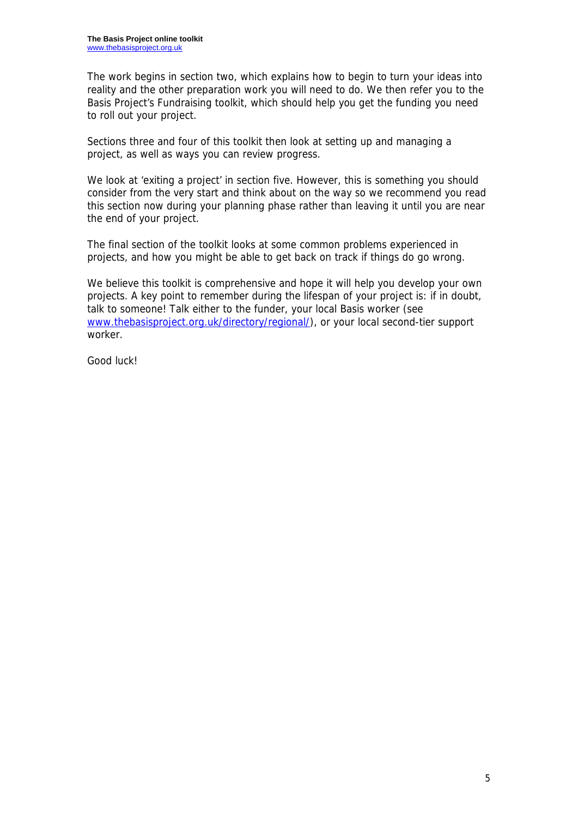The work begins in section two, which explains how to begin to turn your ideas into reality and the other preparation work you will need to do. We then refer you to the Basis Project's Fundraising toolkit, which should help you get the funding you need to roll out your project.

Sections three and four of this toolkit then look at setting up and managing a project, as well as ways you can review progress.

We look at 'exiting a project' in section five. However, this is something you should consider from the very start and think about on the way so we recommend you read this section now during your planning phase rather than leaving it until you are near the end of your project.

The final section of the toolkit looks at some common problems experienced in projects, and how you might be able to get back on track if things do go wrong.

We believe this toolkit is comprehensive and hope it will help you develop your own projects. A key point to remember during the lifespan of your project is: if in doubt, talk to someone! Talk either to the funder, your local Basis worker (see www.thebasisproject.org.uk/directory/regional/), or your local second-tier support worker.

Good luck!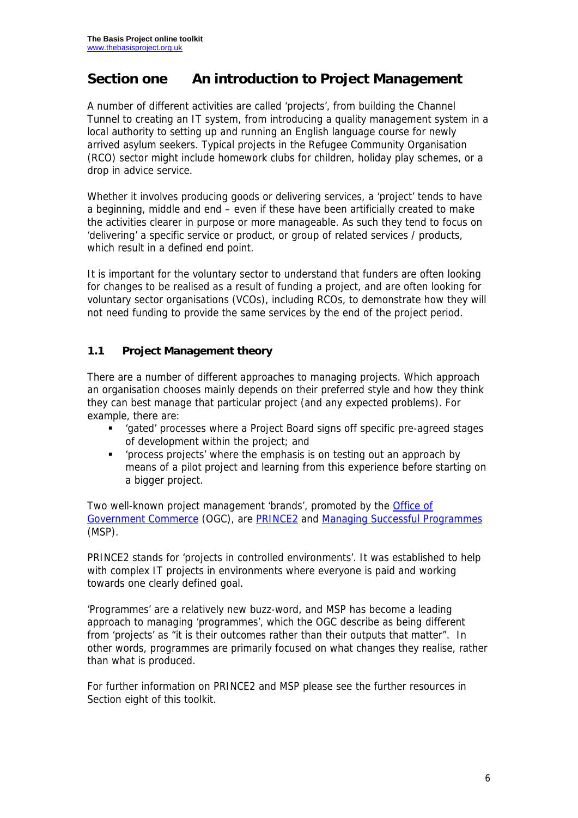## **Section one An introduction to Project Management**

A number of different activities are called 'projects', from building the Channel Tunnel to creating an IT system, from introducing a quality management system in a local authority to setting up and running an English language course for newly arrived asylum seekers. Typical projects in the Refugee Community Organisation (RCO) sector might include homework clubs for children, holiday play schemes, or a drop in advice service.

Whether it involves producing goods or delivering services, a 'project' tends to have a beginning, middle and end – even if these have been artificially created to make the activities clearer in purpose or more manageable. As such they tend to focus on 'delivering' a specific service or product, or group of related services / products, which result in a defined end point.

It is important for the voluntary sector to understand that funders are often looking for changes to be realised as a result of funding a project, and are often looking for voluntary sector organisations (VCOs), including RCOs, to demonstrate how they will not need funding to provide the same services by the end of the project period.

## **1.1 Project Management theory**

There are a number of different approaches to managing projects. Which approach an organisation chooses mainly depends on their preferred style and how they think they can best manage that particular project (and any expected problems). For example, there are:

- 'gated' processes where a Project Board signs off specific pre-agreed stages of development within the project; and
- 'process projects' where the emphasis is on testing out an approach by means of a pilot project and learning from this experience before starting on a bigger project.

Two well-known project management 'brands', promoted by the Office of Government Commerce (OGC), are PRINCE2 and Managing Successful Programmes (MSP).

PRINCE2 stands for 'projects in controlled environments'. It was established to help with complex IT projects in environments where everyone is paid and working towards one clearly defined goal.

'Programmes' are a relatively new buzz-word, and MSP has become a leading approach to managing 'programmes', which the OGC describe as being different from 'projects' as "it is their outcomes rather than their outputs that matter". In other words, programmes are primarily focused on what changes they realise, rather than what is produced.

For further information on PRINCE2 and MSP please see the further resources in Section eight of this toolkit.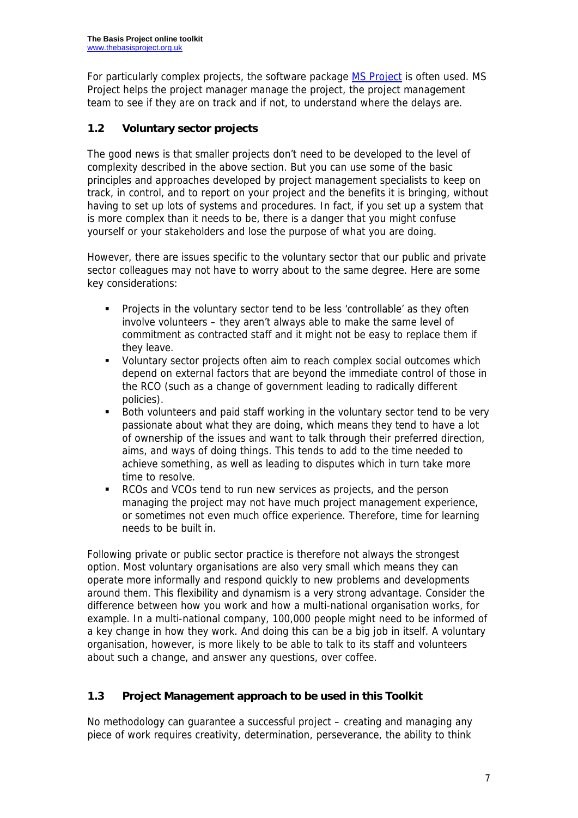For particularly complex projects, the software package **MS Project** is often used. MS Project helps the project manager manage the project, the project management team to see if they are on track and if not, to understand where the delays are.

## **1.2 Voluntary sector projects**

The good news is that smaller projects don't need to be developed to the level of complexity described in the above section. But you can use some of the basic principles and approaches developed by project management specialists to keep on track, in control, and to report on your project and the benefits it is bringing, without having to set up lots of systems and procedures. In fact, if you set up a system that is more complex than it needs to be, there is a danger that you might confuse yourself or your stakeholders and lose the purpose of what you are doing.

However, there are issues specific to the voluntary sector that our public and private sector colleagues may not have to worry about to the same degree. Here are some key considerations:

- Projects in the voluntary sector tend to be less 'controllable' as they often involve volunteers – they aren't always able to make the same level of commitment as contracted staff and it might not be easy to replace them if they leave.
- Voluntary sector projects often aim to reach complex social outcomes which depend on external factors that are beyond the immediate control of those in the RCO (such as a change of government leading to radically different policies).
- Both volunteers and paid staff working in the voluntary sector tend to be very passionate about what they are doing, which means they tend to have a lot of ownership of the issues and want to talk through their preferred direction, aims, and ways of doing things. This tends to add to the time needed to achieve something, as well as leading to disputes which in turn take more time to resolve.
- RCOs and VCOs tend to run new services as projects, and the person managing the project may not have much project management experience, or sometimes not even much office experience. Therefore, time for learning needs to be built in.

Following private or public sector practice is therefore not always the strongest option. Most voluntary organisations are also very small which means they can operate more informally and respond quickly to new problems and developments around them. This flexibility and dynamism is a very strong advantage. Consider the difference between how you work and how a multi-national organisation works, for example. In a multi-national company, 100,000 people might need to be informed of a key change in how they work. And doing this can be a big job in itself. A voluntary organisation, however, is more likely to be able to talk to its staff and volunteers about such a change, and answer any questions, over coffee.

## **1.3 Project Management approach to be used in this Toolkit**

No methodology can guarantee a successful project – creating and managing any piece of work requires creativity, determination, perseverance, the ability to think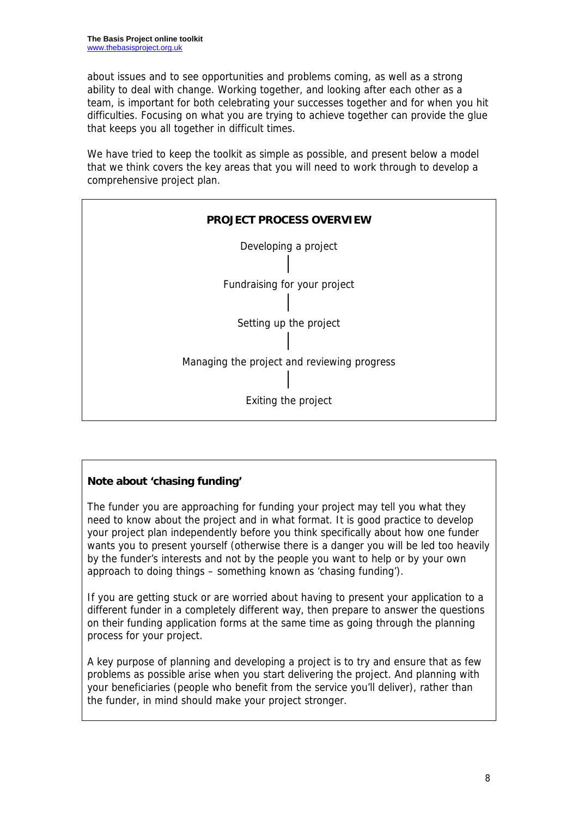about issues and to see opportunities and problems coming, as well as a strong ability to deal with change. Working together, and looking after each other as a team, is important for both celebrating your successes together and for when you hit difficulties. Focusing on what you are trying to achieve together can provide the glue that keeps you all together in difficult times.

We have tried to keep the toolkit as simple as possible, and present below a model that we think covers the key areas that you will need to work through to develop a comprehensive project plan.



## **Note about 'chasing funding'**

The funder you are approaching for funding your project may tell you what they need to know about the project and in what format. It is good practice to develop your project plan independently before you think specifically about how one funder wants you to present yourself (otherwise there is a danger you will be led too heavily by the funder's interests and not by the people you want to help or by your own approach to doing things – something known as 'chasing funding').

If you are getting stuck or are worried about having to present your application to a different funder in a completely different way, then prepare to answer the questions on their funding application forms at the same time as going through the planning process for your project.

A key purpose of planning and developing a project is to try and ensure that as few problems as possible arise when you start delivering the project. And planning with your beneficiaries (people who benefit from the service you'll deliver), rather than the funder, in mind should make your project stronger.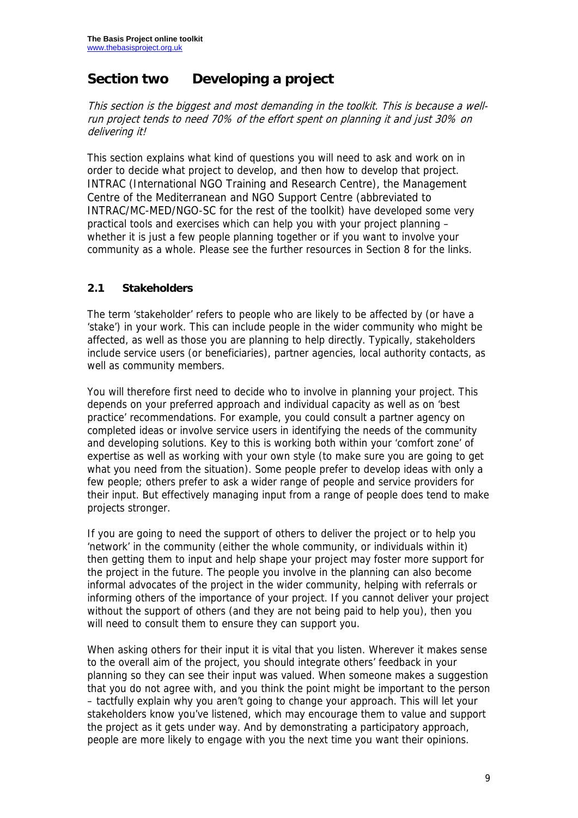## **Section two Developing a project**

This section is the biggest and most demanding in the toolkit. This is because a wellrun project tends to need 70% of the effort spent on planning it and just 30% on delivering it!

This section explains what kind of questions you will need to ask and work on in order to decide what project to develop, and then how to develop that project. INTRAC (International NGO Training and Research Centre), the Management Centre of the Mediterranean and NGO Support Centre (abbreviated to INTRAC/MC-MED/NGO-SC for the rest of the toolkit) have developed some very practical tools and exercises which can help you with your project planning – whether it is just a few people planning together or if you want to involve your community as a whole. Please see the further resources in Section 8 for the links.

## **2.1 Stakeholders**

The term 'stakeholder' refers to people who are likely to be affected by (or have a 'stake') in your work. This can include people in the wider community who might be affected, as well as those you are planning to help directly. Typically, stakeholders include service users (or beneficiaries), partner agencies, local authority contacts, as well as community members.

You will therefore first need to decide who to involve in planning your project. This depends on your preferred approach and individual capacity as well as on 'best practice' recommendations. For example, you could consult a partner agency on completed ideas or involve service users in identifying the needs of the community and developing solutions. Key to this is working both within your 'comfort zone' of expertise as well as working with your own style (to make sure you are going to get what you need from the situation). Some people prefer to develop ideas with only a few people; others prefer to ask a wider range of people and service providers for their input. But effectively managing input from a range of people does tend to make projects stronger.

If you are going to need the support of others to deliver the project or to help you 'network' in the community (either the whole community, or individuals within it) then getting them to input and help shape your project may foster more support for the project in the future. The people you involve in the planning can also become informal advocates of the project in the wider community, helping with referrals or informing others of the importance of your project. If you cannot deliver your project without the support of others (and they are not being paid to help you), then you will need to consult them to ensure they can support you.

When asking others for their input it is vital that you listen. Wherever it makes sense to the overall aim of the project, you should integrate others' feedback in your planning so they can see their input was valued. When someone makes a suggestion that you do not agree with, and you think the point might be important to the person – tactfully explain why you aren't going to change your approach. This will let your stakeholders know you've listened, which may encourage them to value and support the project as it gets under way. And by demonstrating a participatory approach, people are more likely to engage with you the next time you want their opinions.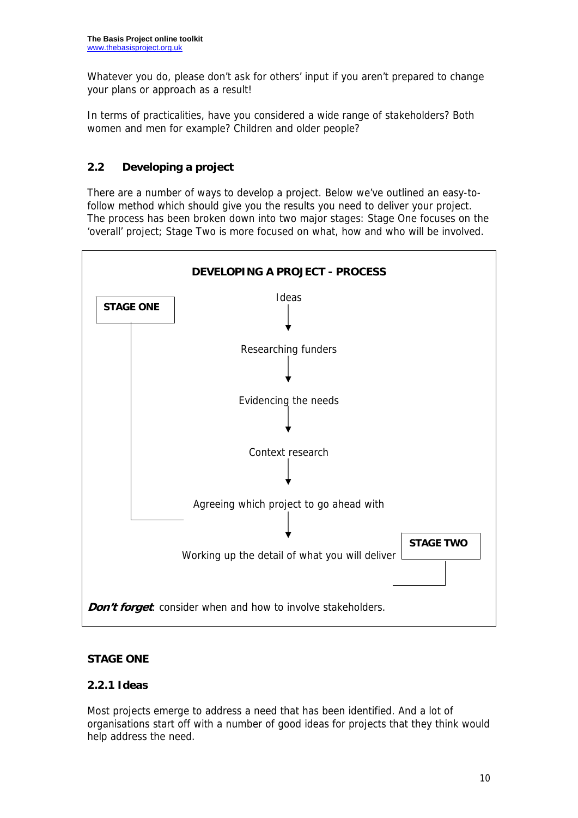Whatever you do, please don't ask for others' input if you aren't prepared to change your plans or approach as a result!

In terms of practicalities, have you considered a wide range of stakeholders? Both women and men for example? Children and older people?

## **2.2 Developing a project**

There are a number of ways to develop a project. Below we've outlined an easy-tofollow method which should give you the results you need to deliver your project. The process has been broken down into two major stages: Stage One focuses on the 'overall' project; Stage Two is more focused on what, how and who will be involved.



### **STAGE ONE**

### **2.2.1 Ideas**

Most projects emerge to address a need that has been identified. And a lot of organisations start off with a number of good ideas for projects that they think would help address the need.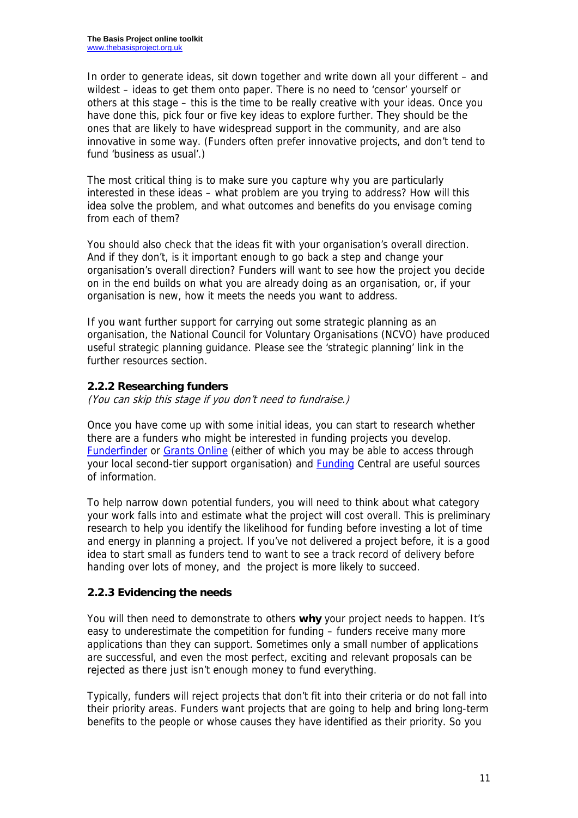In order to generate ideas, sit down together and write down all your different – and wildest – ideas to get them onto paper. There is no need to 'censor' yourself or others at this stage – this is the time to be really creative with your ideas. Once you have done this, pick four or five key ideas to explore further. They should be the ones that are likely to have widespread support in the community, and are also innovative in some way. (Funders often prefer innovative projects, and don't tend to fund 'business as usual'.)

The most critical thing is to make sure you capture why you are particularly interested in these ideas – what problem are you trying to address? How will this idea solve the problem, and what outcomes and benefits do you envisage coming from each of them?

You should also check that the ideas fit with your organisation's overall direction. And if they don't, is it important enough to go back a step and change your organisation's overall direction? Funders will want to see how the project you decide on in the end builds on what you are already doing as an organisation, or, if your organisation is new, how it meets the needs you want to address.

If you want further support for carrying out some strategic planning as an organisation, the National Council for Voluntary Organisations (NCVO) have produced useful strategic planning guidance. Please see the 'strategic planning' link in the further resources section.

## **2.2.2 Researching funders**

(You can skip this stage if you don't need to fundraise.)

Once you have come up with some initial ideas, you can start to research whether there are a funders who might be interested in funding projects you develop. Funderfinder or Grants Online (either of which you may be able to access through your local second-tier support organisation) and Funding Central are useful sources of information.

To help narrow down potential funders, you will need to think about what category your work falls into and estimate what the project will cost overall. This is preliminary research to help you identify the likelihood for funding before investing a lot of time and energy in planning a project. If you've not delivered a project before, it is a good idea to start small as funders tend to want to see a track record of delivery before handing over lots of money, and the project is more likely to succeed.

### **2.2.3 Evidencing the needs**

You will then need to demonstrate to others **why** your project needs to happen. It's easy to underestimate the competition for funding – funders receive many more applications than they can support. Sometimes only a small number of applications are successful, and even the most perfect, exciting and relevant proposals can be rejected as there just isn't enough money to fund everything.

Typically, funders will reject projects that don't fit into their criteria or do not fall into their priority areas. Funders want projects that are going to help and bring long-term benefits to the people or whose causes they have identified as their priority. So you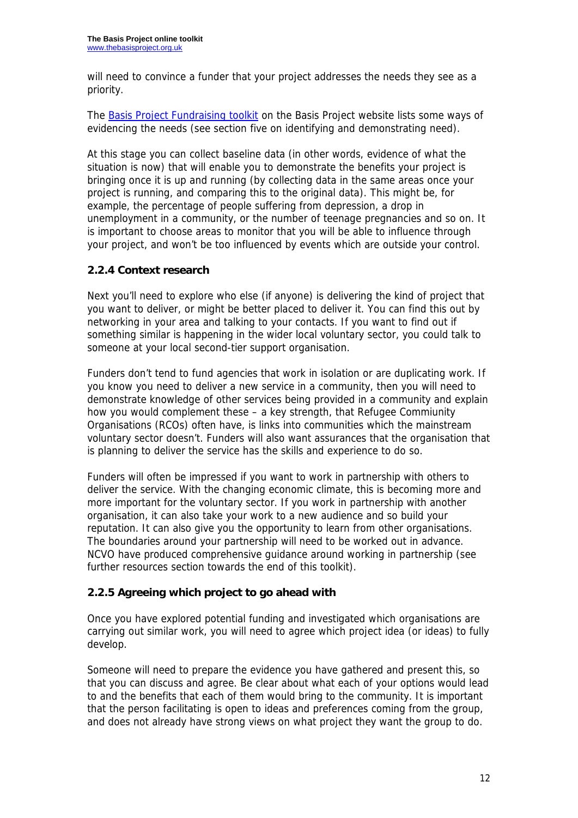will need to convince a funder that your project addresses the needs they see as a priority.

The Basis Project Fundraising toolkit on the Basis Project website lists some ways of evidencing the needs (see section five on identifying and demonstrating need).

At this stage you can collect baseline data (in other words, evidence of what the situation is now) that will enable you to demonstrate the benefits your project is bringing once it is up and running (by collecting data in the same areas once your project is running, and comparing this to the original data). This might be, for example, the percentage of people suffering from depression, a drop in unemployment in a community, or the number of teenage pregnancies and so on. It is important to choose areas to monitor that you will be able to influence through your project, and won't be too influenced by events which are outside your control.

## **2.2.4 Context research**

Next you'll need to explore who else (if anyone) is delivering the kind of project that you want to deliver, or might be better placed to deliver it. You can find this out by networking in your area and talking to your contacts. If you want to find out if something similar is happening in the wider local voluntary sector, you could talk to someone at your local second-tier support organisation.

Funders don't tend to fund agencies that work in isolation or are duplicating work. If you know you need to deliver a new service in a community, then you will need to demonstrate knowledge of other services being provided in a community and explain how you would complement these – a key strength, that Refugee Commiunity Organisations (RCOs) often have, is links into communities which the mainstream voluntary sector doesn't. Funders will also want assurances that the organisation that is planning to deliver the service has the skills and experience to do so.

Funders will often be impressed if you want to work in partnership with others to deliver the service. With the changing economic climate, this is becoming more and more important for the voluntary sector. If you work in partnership with another organisation, it can also take your work to a new audience and so build your reputation. It can also give you the opportunity to learn from other organisations. The boundaries around your partnership will need to be worked out in advance. NCVO have produced comprehensive guidance around working in partnership (see further resources section towards the end of this toolkit).

### **2.2.5 Agreeing which project to go ahead with**

Once you have explored potential funding and investigated which organisations are carrying out similar work, you will need to agree which project idea (or ideas) to fully develop.

Someone will need to prepare the evidence you have gathered and present this, so that you can discuss and agree. Be clear about what each of your options would lead to and the benefits that each of them would bring to the community. It is important that the person facilitating is open to ideas and preferences coming from the group, and does not already have strong views on what project they want the group to do.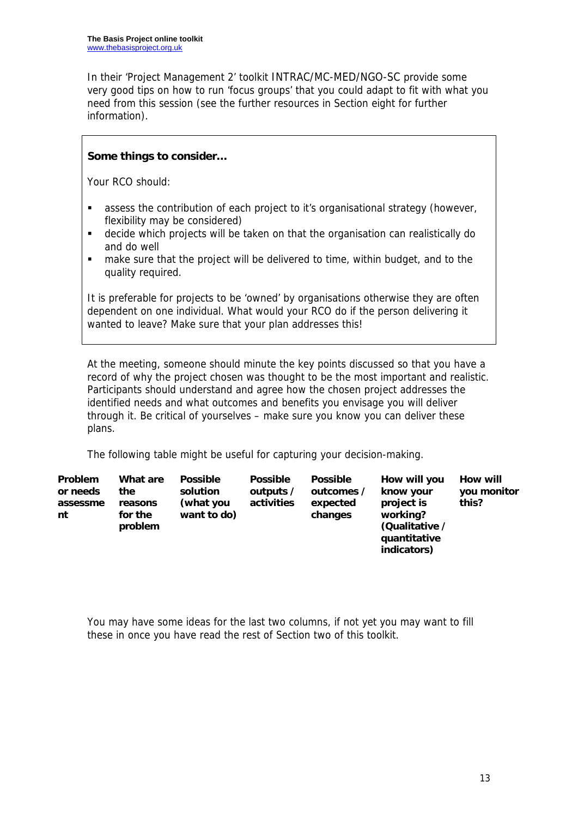In their 'Project Management 2' toolkit INTRAC/MC-MED/NGO-SC provide some very good tips on how to run 'focus groups' that you could adapt to fit with what you need from this session (see the further resources in Section eight for further information).

### **Some things to consider…**

Your RCO should:

- assess the contribution of each project to it's organisational strategy (however, flexibility may be considered)
- decide which projects will be taken on that the organisation can realistically do and do well
- **numate sure that the project will be delivered to time, within budget, and to the** quality required.

It is preferable for projects to be 'owned' by organisations otherwise they are often dependent on one individual. What would your RCO do if the person delivering it wanted to leave? Make sure that your plan addresses this!

At the meeting, someone should minute the key points discussed so that you have a record of why the project chosen was thought to be the most important and realistic. Participants should understand and agree how the chosen project addresses the identified needs and what outcomes and benefits you envisage you will deliver through it. Be critical of yourselves – make sure you know you can deliver these plans.

The following table might be useful for capturing your decision-making.

| <b>Problem</b><br>or needs<br>assessme<br>nt | What are<br>the<br>reasons<br>for the<br>problem | <b>Possible</b><br>solution<br>(what you<br>want to do) | <b>Possible</b><br>outputs /<br>activities | <b>Possible</b><br>outcomes /<br>expected<br>changes | How will you<br>know your<br>project is<br>working?<br>(Qualitative /<br>quantitative | How will<br>you monitor<br>this? |
|----------------------------------------------|--------------------------------------------------|---------------------------------------------------------|--------------------------------------------|------------------------------------------------------|---------------------------------------------------------------------------------------|----------------------------------|
|                                              |                                                  |                                                         |                                            |                                                      | indicators)                                                                           |                                  |

You may have some ideas for the last two columns, if not yet you may want to fill these in once you have read the rest of Section two of this toolkit.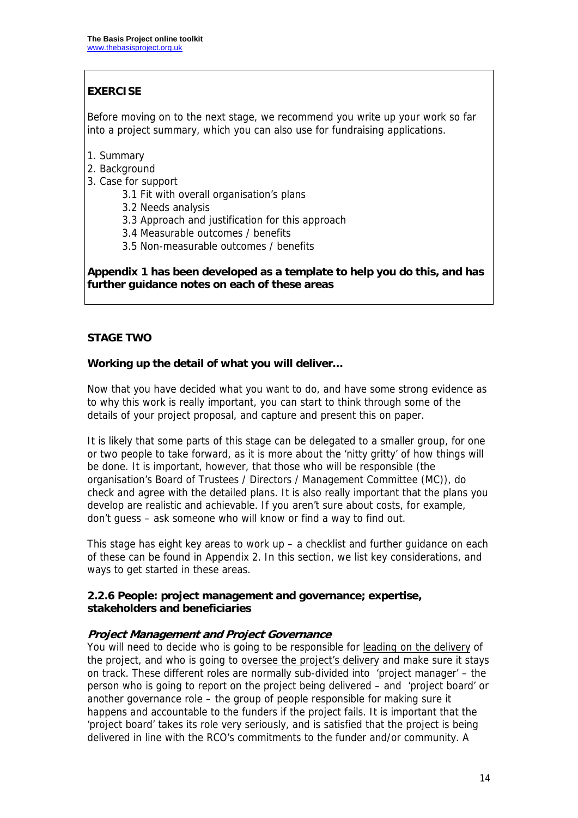## **EXERCISE**

Before moving on to the next stage, we recommend you write up your work so far into a project summary, which you can also use for fundraising applications.

- 1. Summary
- 2. Background
- 3. Case for support
	- 3.1 Fit with overall organisation's plans
	- 3.2 Needs analysis
	- 3.3 Approach and justification for this approach
	- 3.4 Measurable outcomes / benefits
	- 3.5 Non-measurable outcomes / benefits

**Appendix 1 has been developed as a template to help you do this, and has further guidance notes on each of these areas** 

### **STAGE TWO**

#### **Working up the detail of what you will deliver…**

Now that you have decided what you want to do, and have some strong evidence as to why this work is really important, you can start to think through some of the details of your project proposal, and capture and present this on paper.

It is likely that some parts of this stage can be delegated to a smaller group, for one or two people to take forward, as it is more about the 'nitty gritty' of how things will be done. It is important, however, that those who will be responsible (the organisation's Board of Trustees / Directors / Management Committee (MC)), do check and agree with the detailed plans. It is also really important that the plans you develop are realistic and achievable. If you aren't sure about costs, for example, don't guess – ask someone who will know or find a way to find out.

This stage has eight key areas to work up – a checklist and further guidance on each of these can be found in Appendix 2. In this section, we list key considerations, and ways to get started in these areas.

#### **2.2.6 People: project management and governance; expertise, stakeholders and beneficiaries**

#### **Project Management and Project Governance**

You will need to decide who is going to be responsible for leading on the delivery of the project, and who is going to oversee the project's delivery and make sure it stays on track. These different roles are normally sub-divided into 'project manager' – the person who is going to report on the project being delivered – and 'project board' or another governance role – the group of people responsible for making sure it happens and accountable to the funders if the project fails. It is important that the 'project board' takes its role very seriously, and is satisfied that the project is being delivered in line with the RCO's commitments to the funder and/or community. A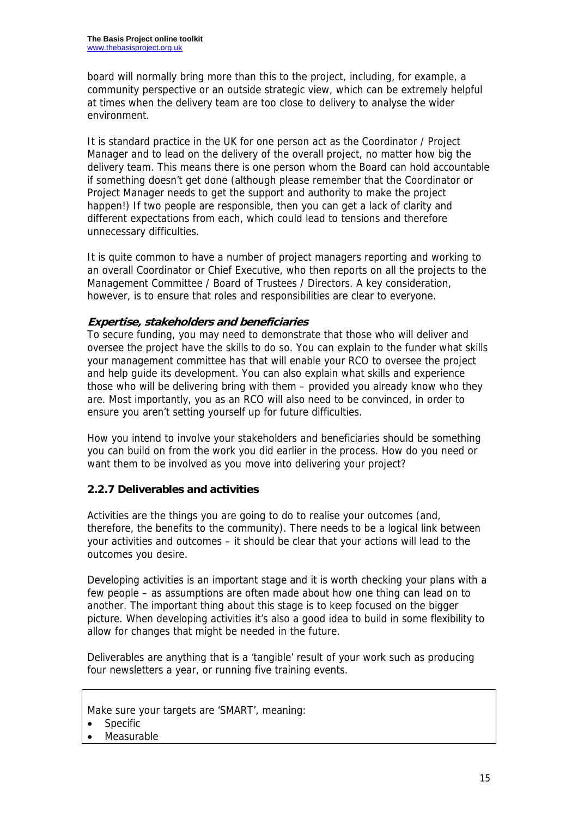board will normally bring more than this to the project, including, for example, a community perspective or an outside strategic view, which can be extremely helpful at times when the delivery team are too close to delivery to analyse the wider environment.

It is standard practice in the UK for one person act as the Coordinator / Project Manager and to lead on the delivery of the overall project, no matter how big the delivery team. This means there is one person whom the Board can hold accountable if something doesn't get done (although please remember that the Coordinator or Project Manager needs to get the support and authority to make the project happen!) If two people are responsible, then you can get a lack of clarity and different expectations from each, which could lead to tensions and therefore unnecessary difficulties.

It is quite common to have a number of project managers reporting and working to an overall Coordinator or Chief Executive, who then reports on all the projects to the Management Committee / Board of Trustees / Directors. A key consideration, however, is to ensure that roles and responsibilities are clear to everyone.

### **Expertise, stakeholders and beneficiaries**

To secure funding, you may need to demonstrate that those who will deliver and oversee the project have the skills to do so. You can explain to the funder what skills your management committee has that will enable your RCO to oversee the project and help guide its development. You can also explain what skills and experience those who will be delivering bring with them – provided you already know who they are. Most importantly, you as an RCO will also need to be convinced, in order to ensure you aren't setting yourself up for future difficulties.

How you intend to involve your stakeholders and beneficiaries should be something you can build on from the work you did earlier in the process. How do you need or want them to be involved as you move into delivering your project?

### **2.2.7 Deliverables and activities**

Activities are the things you are going to do to realise your outcomes (and, therefore, the benefits to the community). There needs to be a logical link between your activities and outcomes – it should be clear that your actions will lead to the outcomes you desire.

Developing activities is an important stage and it is worth checking your plans with a few people – as assumptions are often made about how one thing can lead on to another. The important thing about this stage is to keep focused on the bigger picture. When developing activities it's also a good idea to build in some flexibility to allow for changes that might be needed in the future.

Deliverables are anything that is a 'tangible' result of your work such as producing four newsletters a year, or running five training events.

Make sure your targets are 'SMART', meaning:

• Measurable

**Specific**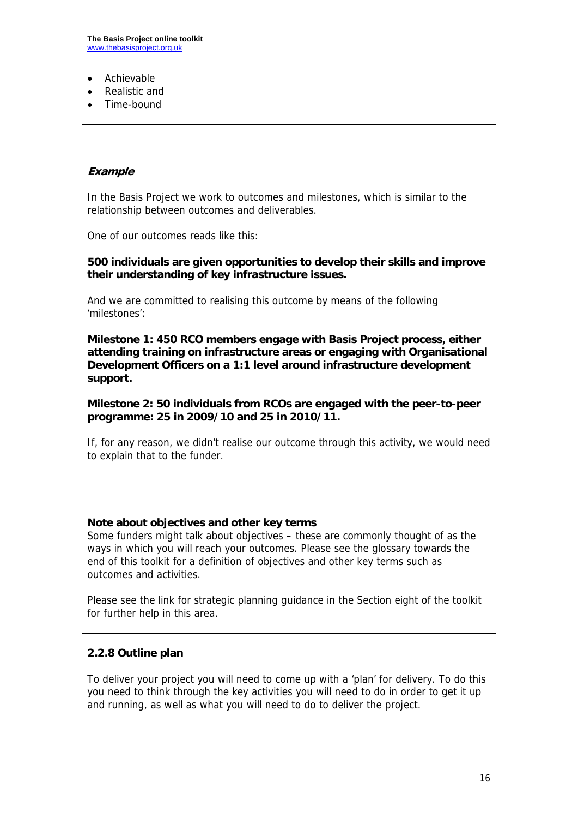- Achievable
- Realistic and
- Time-bound

#### **Example**

In the Basis Project we work to outcomes and milestones, which is similar to the relationship between outcomes and deliverables.

One of our outcomes reads like this:

**500 individuals are given opportunities to develop their skills and improve their understanding of key infrastructure issues.** 

And we are committed to realising this outcome by means of the following 'milestones':

**Milestone 1: 450 RCO members engage with Basis Project process, either attending training on infrastructure areas or engaging with Organisational Development Officers on a 1:1 level around infrastructure development support.** 

**Milestone 2: 50 individuals from RCOs are engaged with the peer-to-peer programme: 25 in 2009/10 and 25 in 2010/11.** 

If, for any reason, we didn't realise our outcome through this activity, we would need to explain that to the funder.

#### **Note about objectives and other key terms**

Some funders might talk about objectives – these are commonly thought of as the ways in which you will reach your outcomes. Please see the glossary towards the end of this toolkit for a definition of objectives and other key terms such as outcomes and activities.

Please see the link for strategic planning guidance in the Section eight of the toolkit for further help in this area.

#### **2.2.8 Outline plan**

To deliver your project you will need to come up with a 'plan' for delivery. To do this you need to think through the key activities you will need to do in order to get it up and running, as well as what you will need to do to deliver the project.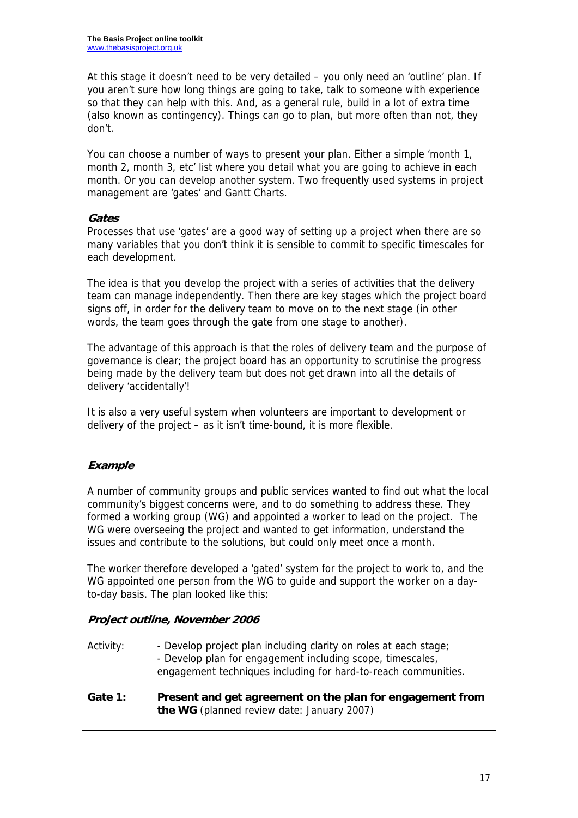At this stage it doesn't need to be very detailed – you only need an 'outline' plan. If you aren't sure how long things are going to take, talk to someone with experience so that they can help with this. And, as a general rule, build in a lot of extra time (also known as contingency). Things can go to plan, but more often than not, they don't.

You can choose a number of ways to present your plan. Either a simple 'month 1, month 2, month 3, etc' list where you detail what you are going to achieve in each month. Or you can develop another system. Two frequently used systems in project management are 'gates' and Gantt Charts.

#### **Gates**

Processes that use 'gates' are a good way of setting up a project when there are so many variables that you don't think it is sensible to commit to specific timescales for each development.

The idea is that you develop the project with a series of activities that the delivery team can manage independently. Then there are key stages which the project board signs off, in order for the delivery team to move on to the next stage (in other words, the team goes through the gate from one stage to another).

The advantage of this approach is that the roles of delivery team and the purpose of governance is clear; the project board has an opportunity to scrutinise the progress being made by the delivery team but does not get drawn into all the details of delivery 'accidentally'!

It is also a very useful system when volunteers are important to development or delivery of the project – as it isn't time-bound, it is more flexible.

### **Example**

A number of community groups and public services wanted to find out what the local community's biggest concerns were, and to do something to address these. They formed a working group (WG) and appointed a worker to lead on the project. The WG were overseeing the project and wanted to get information, understand the issues and contribute to the solutions, but could only meet once a month.

The worker therefore developed a 'gated' system for the project to work to, and the WG appointed one person from the WG to guide and support the worker on a dayto-day basis. The plan looked like this:

### **Project outline, November 2006**

Activity: - Develop project plan including clarity on roles at each stage; - Develop plan for engagement including scope, timescales, engagement techniques including for hard-to-reach communities.

#### **Gate 1: Present and get agreement on the plan for engagement from the WG** (planned review date: January 2007)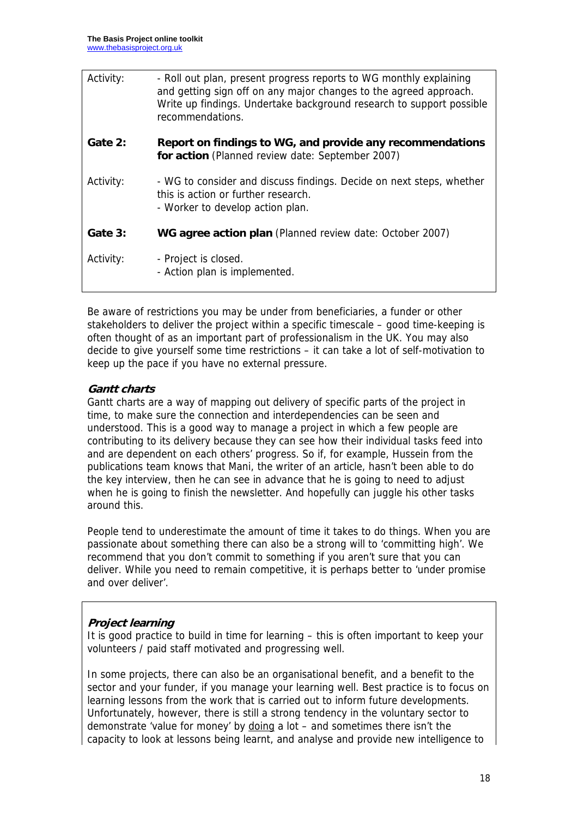| Activity: | - Roll out plan, present progress reports to WG monthly explaining<br>and getting sign off on any major changes to the agreed approach.<br>Write up findings. Undertake background research to support possible<br>recommendations. |
|-----------|-------------------------------------------------------------------------------------------------------------------------------------------------------------------------------------------------------------------------------------|
| Gate 2:   | Report on findings to WG, and provide any recommendations<br>for action (Planned review date: September 2007)                                                                                                                       |
| Activity: | - WG to consider and discuss findings. Decide on next steps, whether<br>this is action or further research.<br>- Worker to develop action plan.                                                                                     |
| Gate 3:   | WG agree action plan (Planned review date: October 2007)                                                                                                                                                                            |
| Activity: | - Project is closed.<br>- Action plan is implemented.                                                                                                                                                                               |

Be aware of restrictions you may be under from beneficiaries, a funder or other stakeholders to deliver the project within a specific timescale – good time-keeping is often thought of as an important part of professionalism in the UK. You may also decide to give yourself some time restrictions – it can take a lot of self-motivation to keep up the pace if you have no external pressure.

## **Gantt charts**

Gantt charts are a way of mapping out delivery of specific parts of the project in time, to make sure the connection and interdependencies can be seen and understood. This is a good way to manage a project in which a few people are contributing to its delivery because they can see how their individual tasks feed into and are dependent on each others' progress. So if, for example, Hussein from the publications team knows that Mani, the writer of an article, hasn't been able to do the key interview, then he can see in advance that he is going to need to adjust when he is going to finish the newsletter. And hopefully can juggle his other tasks around this.

People tend to underestimate the amount of time it takes to do things. When you are passionate about something there can also be a strong will to 'committing high'. We recommend that you don't commit to something if you aren't sure that you can deliver. While you need to remain competitive, it is perhaps better to 'under promise and over deliver'.

## **Project learning**

It is good practice to build in time for learning – this is often important to keep your volunteers / paid staff motivated and progressing well.

In some projects, there can also be an organisational benefit, and a benefit to the sector and your funder, if you manage your learning well. Best practice is to focus on learning lessons from the work that is carried out to inform future developments. Unfortunately, however, there is still a strong tendency in the voluntary sector to demonstrate 'value for money' by doing a lot – and sometimes there isn't the capacity to look at lessons being learnt, and analyse and provide new intelligence to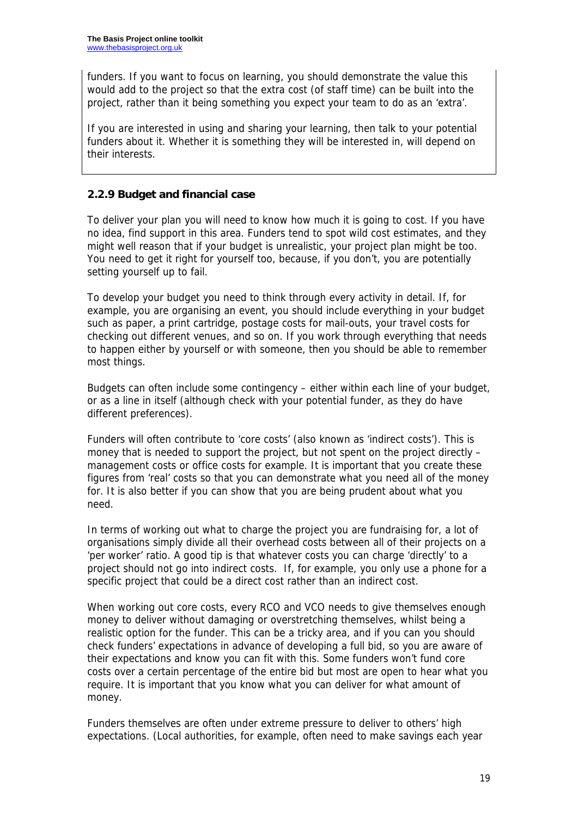funders. If you want to focus on learning, you should demonstrate the value this would add to the project so that the extra cost (of staff time) can be built into the project, rather than it being something you expect your team to do as an 'extra'.

If you are interested in using and sharing your learning, then talk to your potential funders about it. Whether it is something they will be interested in, will depend on their interests.

## **2.2.9 Budget and financial case**

To deliver your plan you will need to know how much it is going to cost. If you have no idea, find support in this area. Funders tend to spot wild cost estimates, and they might well reason that if your budget is unrealistic, your project plan might be too. You need to get it right for yourself too, because, if you don't, you are potentially setting yourself up to fail.

To develop your budget you need to think through every activity in detail. If, for example, you are organising an event, you should include everything in your budget such as paper, a print cartridge, postage costs for mail-outs, your travel costs for checking out different venues, and so on. If you work through everything that needs to happen either by yourself or with someone, then you should be able to remember most things.

Budgets can often include some contingency – either within each line of your budget, or as a line in itself (although check with your potential funder, as they do have different preferences).

Funders will often contribute to 'core costs' (also known as 'indirect costs'). This is money that is needed to support the project, but not spent on the project directly – management costs or office costs for example. It is important that you create these figures from 'real' costs so that you can demonstrate what you need all of the money for. It is also better if you can show that you are being prudent about what you need.

In terms of working out what to charge the project you are fundraising for, a lot of organisations simply divide all their overhead costs between all of their projects on a 'per worker' ratio. A good tip is that whatever costs you can charge 'directly' to a project should not go into indirect costs. If, for example, you only use a phone for a specific project that could be a direct cost rather than an indirect cost.

When working out core costs, every RCO and VCO needs to give themselves enough money to deliver without damaging or overstretching themselves, whilst being a realistic option for the funder. This can be a tricky area, and if you can you should check funders' expectations in advance of developing a full bid, so you are aware of their expectations and know you can fit with this. Some funders won't fund core costs over a certain percentage of the entire bid but most are open to hear what you require. It is important that you know what you can deliver for what amount of money.

Funders themselves are often under extreme pressure to deliver to others' high expectations. (Local authorities, for example, often need to make savings each year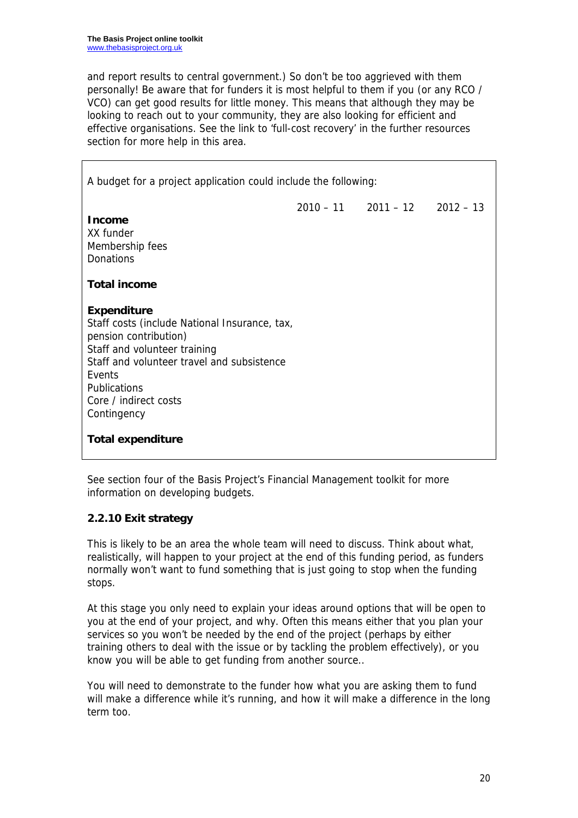and report results to central government.) So don't be too aggrieved with them personally! Be aware that for funders it is most helpful to them if you (or any RCO / VCO) can get good results for little money. This means that although they may be looking to reach out to your community, they are also looking for efficient and effective organisations. See the link to 'full-cost recovery' in the further resources section for more help in this area.

A budget for a project application could include the following:  $2010 - 11$  2011 – 12 2012 – 13 **Income**  XX funder Membership fees Donations **Total income Expenditure**  Staff costs (include National Insurance, tax, pension contribution) Staff and volunteer training Staff and volunteer travel and subsistence Events Publications Core / indirect costs Contingency **Total expenditure** 

See section four of the Basis Project's Financial Management toolkit for more information on developing budgets.

## **2.2.10 Exit strategy**

This is likely to be an area the whole team will need to discuss. Think about what, realistically, will happen to your project at the end of this funding period, as funders normally won't want to fund something that is just going to stop when the funding stops.

At this stage you only need to explain your ideas around options that will be open to you at the end of your project, and why. Often this means either that you plan your services so you won't be needed by the end of the project (perhaps by either training others to deal with the issue or by tackling the problem effectively), or you know you will be able to get funding from another source..

You will need to demonstrate to the funder how what you are asking them to fund will make a difference while it's running, and how it will make a difference in the long term too.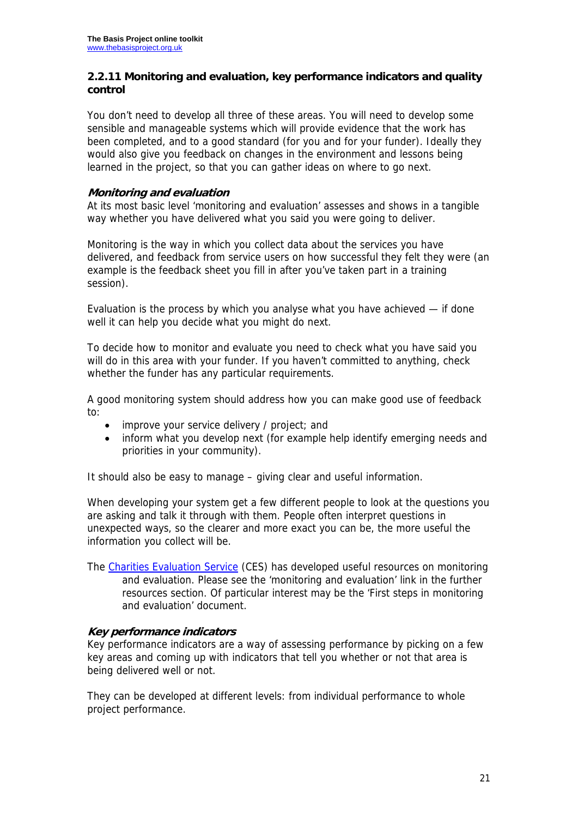#### **2.2.11 Monitoring and evaluation, key performance indicators and quality control**

You don't need to develop all three of these areas. You will need to develop some sensible and manageable systems which will provide evidence that the work has been completed, and to a good standard (for you and for your funder). Ideally they would also give you feedback on changes in the environment and lessons being learned in the project, so that you can gather ideas on where to go next.

#### **Monitoring and evaluation**

At its most basic level 'monitoring and evaluation' assesses and shows in a tangible way whether you have delivered what you said you were going to deliver.

Monitoring is the way in which you collect data about the services you have delivered, and feedback from service users on how successful they felt they were (an example is the feedback sheet you fill in after you've taken part in a training session).

Evaluation is the process by which you analyse what you have achieved — if done well it can help you decide what you might do next.

To decide how to monitor and evaluate you need to check what you have said you will do in this area with your funder. If you haven't committed to anything, check whether the funder has any particular requirements.

A good monitoring system should address how you can make good use of feedback to:

- improve your service delivery / project; and
- inform what you develop next (for example help identify emerging needs and priorities in your community).

It should also be easy to manage – giving clear and useful information.

When developing your system get a few different people to look at the questions you are asking and talk it through with them. People often interpret questions in unexpected ways, so the clearer and more exact you can be, the more useful the information you collect will be.

The Charities Evaluation Service (CES) has developed useful resources on monitoring and evaluation. Please see the 'monitoring and evaluation' link in the further resources section. Of particular interest may be the 'First steps in monitoring and evaluation' document.

#### **Key performance indicators**

Key performance indicators are a way of assessing performance by picking on a few key areas and coming up with indicators that tell you whether or not that area is being delivered well or not.

They can be developed at different levels: from individual performance to whole project performance.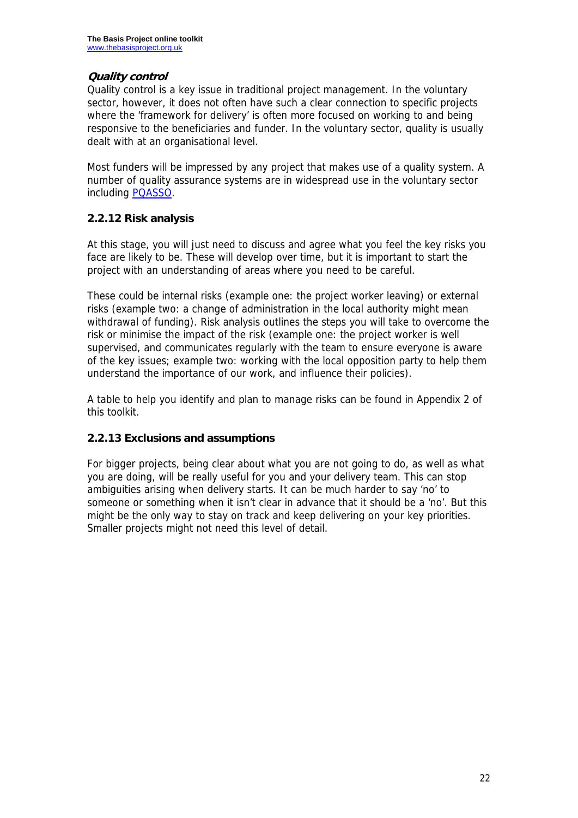### **Quality control**

Quality control is a key issue in traditional project management. In the voluntary sector, however, it does not often have such a clear connection to specific projects where the 'framework for delivery' is often more focused on working to and being responsive to the beneficiaries and funder. In the voluntary sector, quality is usually dealt with at an organisational level.

Most funders will be impressed by any project that makes use of a quality system. A number of quality assurance systems are in widespread use in the voluntary sector including PQASSO.

## **2.2.12 Risk analysis**

At this stage, you will just need to discuss and agree what you feel the key risks you face are likely to be. These will develop over time, but it is important to start the project with an understanding of areas where you need to be careful.

These could be internal risks (example one: the project worker leaving) or external risks (example two: a change of administration in the local authority might mean withdrawal of funding). Risk analysis outlines the steps you will take to overcome the risk or minimise the impact of the risk (example one: the project worker is well supervised, and communicates regularly with the team to ensure everyone is aware of the key issues; example two: working with the local opposition party to help them understand the importance of our work, and influence their policies).

A table to help you identify and plan to manage risks can be found in Appendix 2 of this toolkit.

### **2.2.13 Exclusions and assumptions**

For bigger projects, being clear about what you are not going to do, as well as what you are doing, will be really useful for you and your delivery team. This can stop ambiguities arising when delivery starts. It can be much harder to say 'no' to someone or something when it isn't clear in advance that it should be a 'no'. But this might be the only way to stay on track and keep delivering on your key priorities. Smaller projects might not need this level of detail.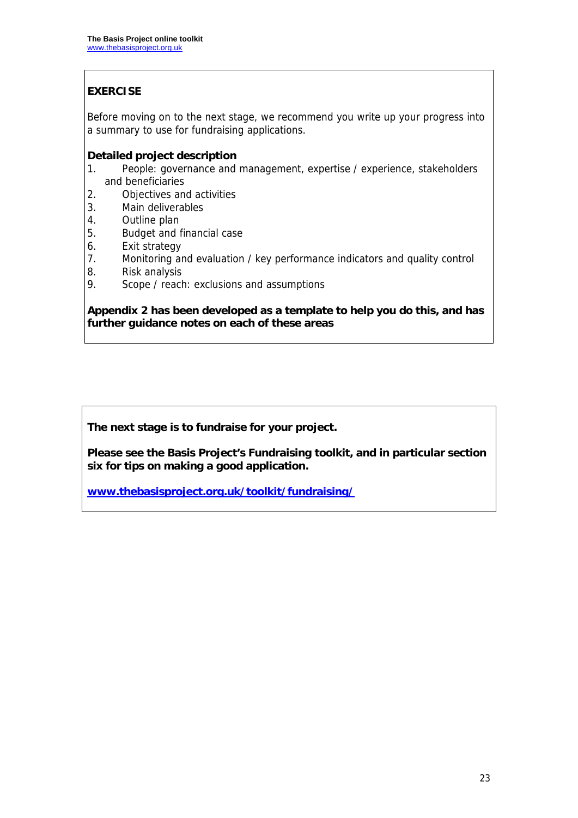## **EXERCISE**

Before moving on to the next stage, we recommend you write up your progress into a summary to use for fundraising applications.

#### **Detailed project description**

- 1. People: governance and management, expertise / experience, stakeholders and beneficiaries
- 2. Objectives and activities
- 3. Main deliverables
- 4. Outline plan
- 5. Budget and financial case
- 6. Exit strategy
- 7. Monitoring and evaluation / key performance indicators and quality control
- 8. Risk analysis
- 9. Scope / reach: exclusions and assumptions

#### **Appendix 2 has been developed as a template to help you do this, and has further guidance notes on each of these areas**

**The next stage is to fundraise for your project.** 

**Please see the Basis Project's Fundraising toolkit, and in particular section six for tips on making a good application.** 

**www.thebasisproject.org.uk/toolkit/fundraising/**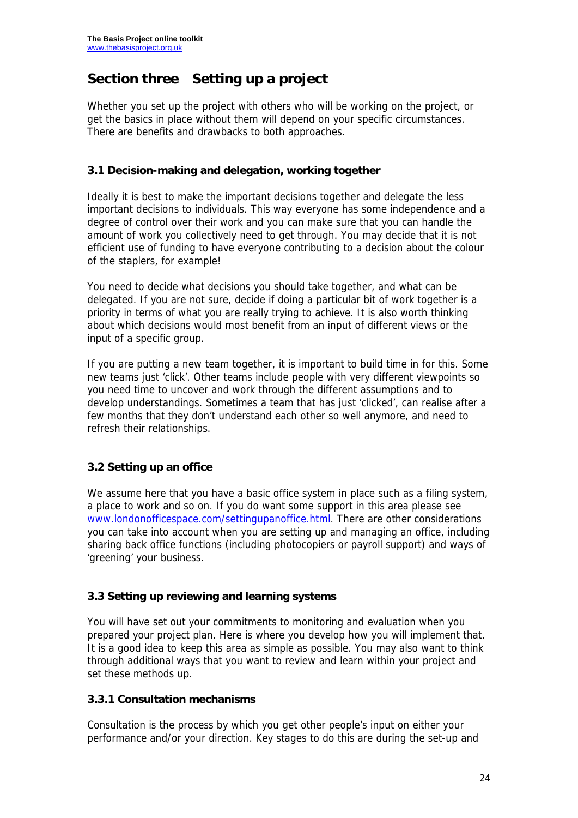# **Section three Setting up a project**

Whether you set up the project with others who will be working on the project, or get the basics in place without them will depend on your specific circumstances. There are benefits and drawbacks to both approaches.

#### **3.1 Decision-making and delegation, working together**

Ideally it is best to make the important decisions together and delegate the less important decisions to individuals. This way everyone has some independence and a degree of control over their work and you can make sure that you can handle the amount of work you collectively need to get through. You may decide that it is not efficient use of funding to have everyone contributing to a decision about the colour of the staplers, for example!

You need to decide what decisions you should take together, and what can be delegated. If you are not sure, decide if doing a particular bit of work together is a priority in terms of what you are really trying to achieve. It is also worth thinking about which decisions would most benefit from an input of different views or the input of a specific group.

If you are putting a new team together, it is important to build time in for this. Some new teams just 'click'. Other teams include people with very different viewpoints so you need time to uncover and work through the different assumptions and to develop understandings. Sometimes a team that has just 'clicked', can realise after a few months that they don't understand each other so well anymore, and need to refresh their relationships.

## **3.2 Setting up an office**

We assume here that you have a basic office system in place such as a filing system, a place to work and so on. If you do want some support in this area please see www.londonofficespace.com/settingupanoffice.html. There are other considerations you can take into account when you are setting up and managing an office, including sharing back office functions (including photocopiers or payroll support) and ways of 'greening' your business.

### **3.3 Setting up reviewing and learning systems**

You will have set out your commitments to monitoring and evaluation when you prepared your project plan. Here is where you develop how you will implement that. It is a good idea to keep this area as simple as possible. You may also want to think through additional ways that you want to review and learn within your project and set these methods up.

### **3.3.1 Consultation mechanisms**

Consultation is the process by which you get other people's input on either your performance and/or your direction. Key stages to do this are during the set-up and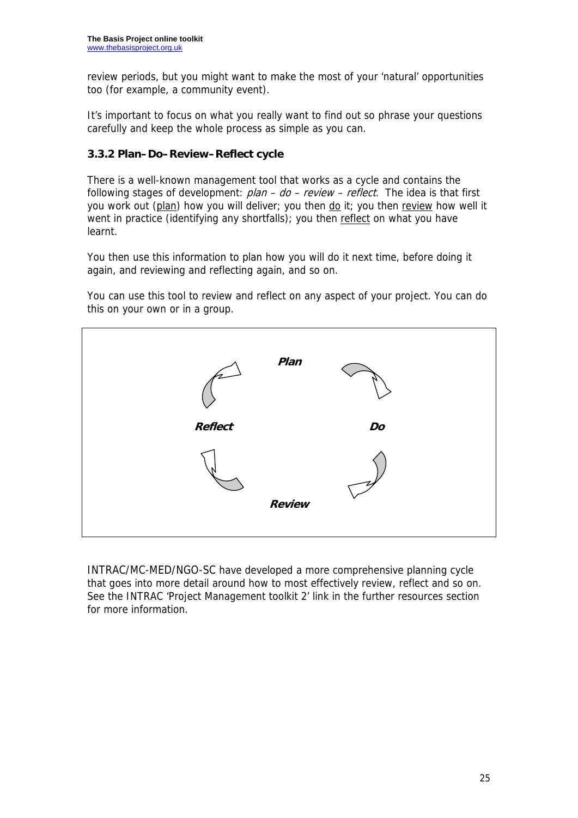review periods, but you might want to make the most of your 'natural' opportunities too (for example, a community event).

It's important to focus on what you really want to find out so phrase your questions carefully and keep the whole process as simple as you can.

### **3.3.2 Plan–Do–Review–Reflect cycle**

There is a well-known management tool that works as a cycle and contains the following stages of development: plan – do – review – reflect.The idea is that first you work out (plan) how you will deliver; you then do it; you then review how well it went in practice (identifying any shortfalls); you then reflect on what you have learnt.

You then use this information to plan how you will do it next time, before doing it again, and reviewing and reflecting again, and so on.

You can use this tool to review and reflect on any aspect of your project. You can do this on your own or in a group.



INTRAC/MC-MED/NGO-SC have developed a more comprehensive planning cycle that goes into more detail around how to most effectively review, reflect and so on. See the INTRAC 'Project Management toolkit 2' link in the further resources section for more information.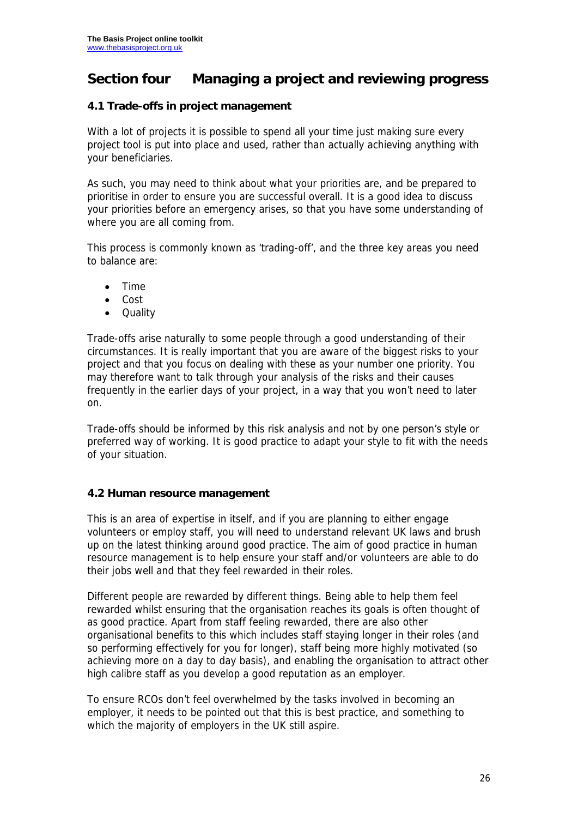## **Section four Managing a project and reviewing progress**

### **4.1 Trade-offs in project management**

With a lot of projects it is possible to spend all your time just making sure every project tool is put into place and used, rather than actually achieving anything with your beneficiaries.

As such, you may need to think about what your priorities are, and be prepared to prioritise in order to ensure you are successful overall. It is a good idea to discuss your priorities before an emergency arises, so that you have some understanding of where you are all coming from.

This process is commonly known as 'trading-off', and the three key areas you need to balance are:

- Time
- Cost
- **Quality**

Trade-offs arise naturally to some people through a good understanding of their circumstances. It is really important that you are aware of the biggest risks to your project and that you focus on dealing with these as your number one priority. You may therefore want to talk through your analysis of the risks and their causes frequently in the earlier days of your project, in a way that you won't need to later on.

Trade-offs should be informed by this risk analysis and not by one person's style or preferred way of working. It is good practice to adapt your style to fit with the needs of your situation.

### **4.2 Human resource management**

This is an area of expertise in itself, and if you are planning to either engage volunteers or employ staff, you will need to understand relevant UK laws and brush up on the latest thinking around good practice. The aim of good practice in human resource management is to help ensure your staff and/or volunteers are able to do their jobs well and that they feel rewarded in their roles.

Different people are rewarded by different things. Being able to help them feel rewarded whilst ensuring that the organisation reaches its goals is often thought of as good practice. Apart from staff feeling rewarded, there are also other organisational benefits to this which includes staff staying longer in their roles (and so performing effectively for you for longer), staff being more highly motivated (so achieving more on a day to day basis), and enabling the organisation to attract other high calibre staff as you develop a good reputation as an employer.

To ensure RCOs don't feel overwhelmed by the tasks involved in becoming an employer, it needs to be pointed out that this is best practice, and something to which the majority of employers in the UK still aspire.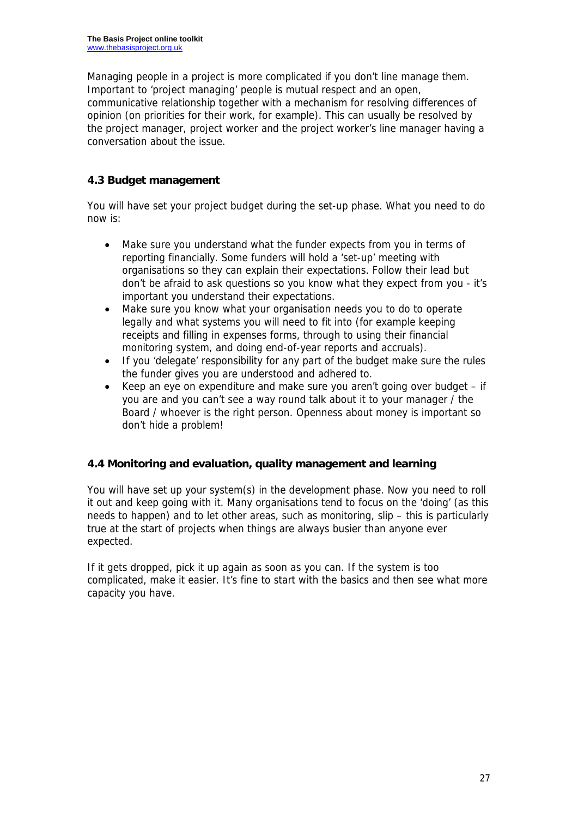Managing people in a project is more complicated if you don't line manage them. Important to 'project managing' people is mutual respect and an open, communicative relationship together with a mechanism for resolving differences of opinion (on priorities for their work, for example). This can usually be resolved by the project manager, project worker and the project worker's line manager having a conversation about the issue.

## **4.3 Budget management**

You will have set your project budget during the set-up phase. What you need to do now is:

- Make sure you understand what the funder expects from you in terms of reporting financially. Some funders will hold a 'set-up' meeting with organisations so they can explain their expectations. Follow their lead but don't be afraid to ask questions so you know what they expect from you - it's important you understand their expectations.
- Make sure you know what your organisation needs you to do to operate legally and what systems you will need to fit into (for example keeping receipts and filling in expenses forms, through to using their financial monitoring system, and doing end-of-year reports and accruals).
- If you 'delegate' responsibility for any part of the budget make sure the rules the funder gives you are understood and adhered to.
- Keep an eye on expenditure and make sure you aren't going over budget if you are and you can't see a way round talk about it to your manager / the Board / whoever is the right person. Openness about money is important so don't hide a problem!

### **4.4 Monitoring and evaluation, quality management and learning**

You will have set up your system(s) in the development phase. Now you need to roll it out and keep going with it. Many organisations tend to focus on the 'doing' (as this needs to happen) and to let other areas, such as monitoring, slip – this is particularly true at the start of projects when things are always busier than anyone ever expected.

If it gets dropped, pick it up again as soon as you can. If the system is too complicated, make it easier. It's fine to start with the basics and then see what more capacity you have.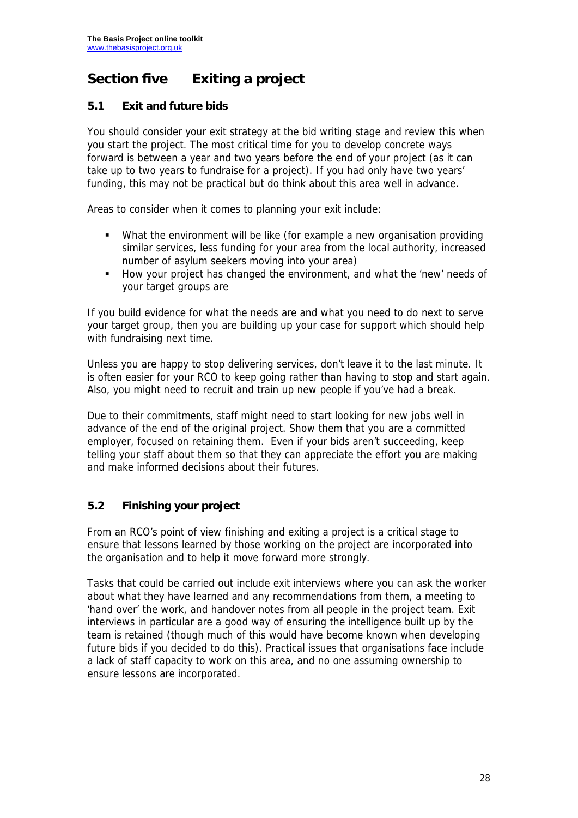# **Section five Exiting a project**

## **5.1 Exit and future bids**

You should consider your exit strategy at the bid writing stage and review this when you start the project. The most critical time for you to develop concrete ways forward is between a year and two years before the end of your project (as it can take up to two years to fundraise for a project). If you had only have two years' funding, this may not be practical but do think about this area well in advance.

Areas to consider when it comes to planning your exit include:

- What the environment will be like (for example a new organisation providing similar services, less funding for your area from the local authority, increased number of asylum seekers moving into your area)
- How your project has changed the environment, and what the 'new' needs of your target groups are

If you build evidence for what the needs are and what you need to do next to serve your target group, then you are building up your case for support which should help with fundraising next time.

Unless you are happy to stop delivering services, don't leave it to the last minute. It is often easier for your RCO to keep going rather than having to stop and start again. Also, you might need to recruit and train up new people if you've had a break.

Due to their commitments, staff might need to start looking for new jobs well in advance of the end of the original project. Show them that you are a committed employer, focused on retaining them. Even if your bids aren't succeeding, keep telling your staff about them so that they can appreciate the effort you are making and make informed decisions about their futures.

## **5.2 Finishing your project**

From an RCO's point of view finishing and exiting a project is a critical stage to ensure that lessons learned by those working on the project are incorporated into the organisation and to help it move forward more strongly.

Tasks that could be carried out include exit interviews where you can ask the worker about what they have learned and any recommendations from them, a meeting to 'hand over' the work, and handover notes from all people in the project team. Exit interviews in particular are a good way of ensuring the intelligence built up by the team is retained (though much of this would have become known when developing future bids if you decided to do this). Practical issues that organisations face include a lack of staff capacity to work on this area, and no one assuming ownership to ensure lessons are incorporated.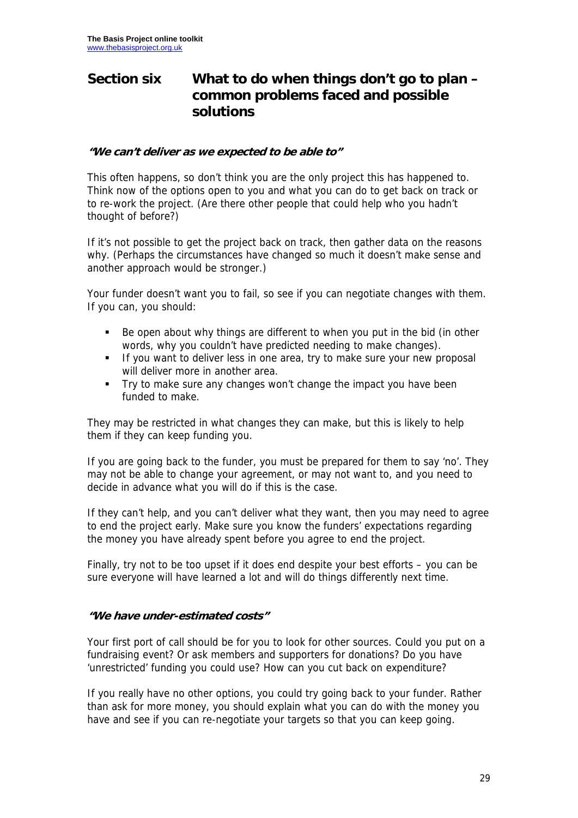## **Section six What to do when things don't go to plan – common problems faced and possible solutions**

#### **"We can't deliver as we expected to be able to"**

This often happens, so don't think you are the only project this has happened to. Think now of the options open to you and what you can do to get back on track or to re-work the project. (Are there other people that could help who you hadn't thought of before?)

If it's not possible to get the project back on track, then gather data on the reasons why. (Perhaps the circumstances have changed so much it doesn't make sense and another approach would be stronger.)

Your funder doesn't want you to fail, so see if you can negotiate changes with them. If you can, you should:

- Be open about why things are different to when you put in the bid (in other words, why you couldn't have predicted needing to make changes).
- If you want to deliver less in one area, try to make sure your new proposal will deliver more in another area.
- Try to make sure any changes won't change the impact you have been funded to make.

They may be restricted in what changes they can make, but this is likely to help them if they can keep funding you.

If you are going back to the funder, you must be prepared for them to say 'no'. They may not be able to change your agreement, or may not want to, and you need to decide in advance what you will do if this is the case.

If they can't help, and you can't deliver what they want, then you may need to agree to end the project early. Make sure you know the funders' expectations regarding the money you have already spent before you agree to end the project.

Finally, try not to be too upset if it does end despite your best efforts – you can be sure everyone will have learned a lot and will do things differently next time.

#### **"We have under-estimated costs"**

Your first port of call should be for you to look for other sources. Could you put on a fundraising event? Or ask members and supporters for donations? Do you have 'unrestricted' funding you could use? How can you cut back on expenditure?

If you really have no other options, you could try going back to your funder. Rather than ask for more money, you should explain what you can do with the money you have and see if you can re-negotiate your targets so that you can keep going.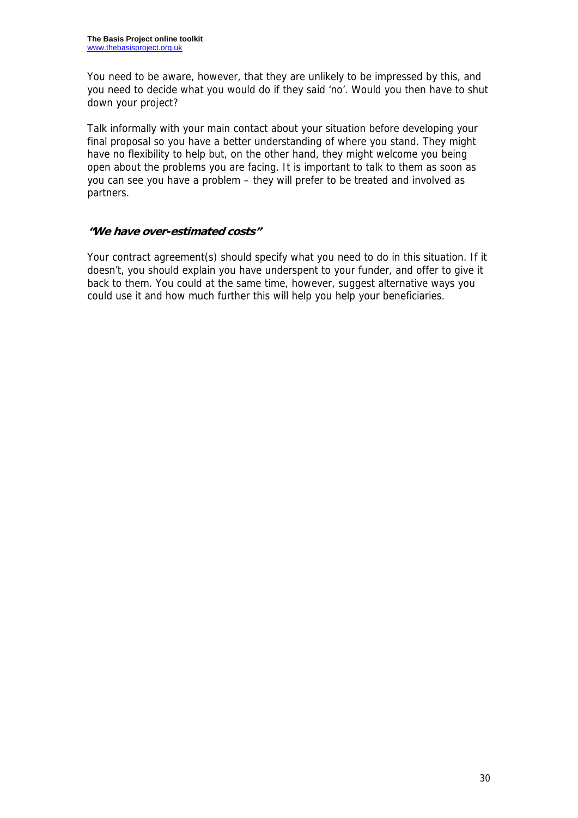You need to be aware, however, that they are unlikely to be impressed by this, and you need to decide what you would do if they said 'no'. Would you then have to shut down your project?

Talk informally with your main contact about your situation before developing your final proposal so you have a better understanding of where you stand. They might have no flexibility to help but, on the other hand, they might welcome you being open about the problems you are facing. It is important to talk to them as soon as you can see you have a problem – they will prefer to be treated and involved as partners.

### **"We have over-estimated costs"**

Your contract agreement(s) should specify what you need to do in this situation. If it doesn't, you should explain you have underspent to your funder, and offer to give it back to them. You could at the same time, however, suggest alternative ways you could use it and how much further this will help you help your beneficiaries.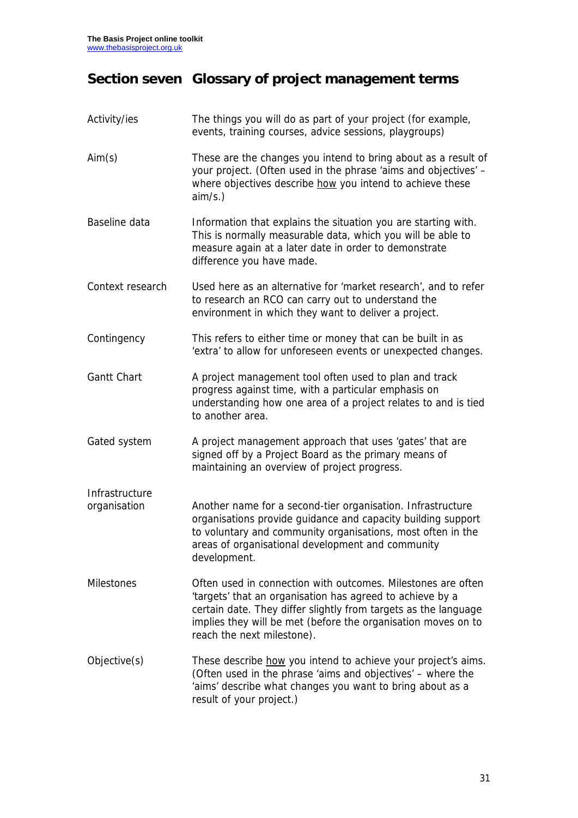# **Section seven Glossary of project management terms**

| Activity/ies                   | The things you will do as part of your project (for example,<br>events, training courses, advice sessions, playgroups)                                                                                                                                                                      |
|--------------------------------|---------------------------------------------------------------------------------------------------------------------------------------------------------------------------------------------------------------------------------------------------------------------------------------------|
| Aim(s)                         | These are the changes you intend to bring about as a result of<br>your project. (Often used in the phrase 'aims and objectives' -<br>where objectives describe how you intend to achieve these<br>aim/s.)                                                                                   |
| Baseline data                  | Information that explains the situation you are starting with.<br>This is normally measurable data, which you will be able to<br>measure again at a later date in order to demonstrate<br>difference you have made.                                                                         |
| Context research               | Used here as an alternative for 'market research', and to refer<br>to research an RCO can carry out to understand the<br>environment in which they want to deliver a project.                                                                                                               |
| Contingency                    | This refers to either time or money that can be built in as<br>'extra' to allow for unforeseen events or unexpected changes.                                                                                                                                                                |
| <b>Gantt Chart</b>             | A project management tool often used to plan and track<br>progress against time, with a particular emphasis on<br>understanding how one area of a project relates to and is tied<br>to another area.                                                                                        |
| Gated system                   | A project management approach that uses 'gates' that are<br>signed off by a Project Board as the primary means of<br>maintaining an overview of project progress.                                                                                                                           |
| Infrastructure<br>organisation | Another name for a second-tier organisation. Infrastructure<br>organisations provide guidance and capacity building support<br>to voluntary and community organisations, most often in the<br>areas of organisational development and community<br>development.                             |
| <b>Milestones</b>              | Often used in connection with outcomes. Milestones are often<br>'targets' that an organisation has agreed to achieve by a<br>certain date. They differ slightly from targets as the language<br>implies they will be met (before the organisation moves on to<br>reach the next milestone). |
| Objective(s)                   | These describe how you intend to achieve your project's aims.<br>(Often used in the phrase 'aims and objectives' - where the<br>'aims' describe what changes you want to bring about as a<br>result of your project.)                                                                       |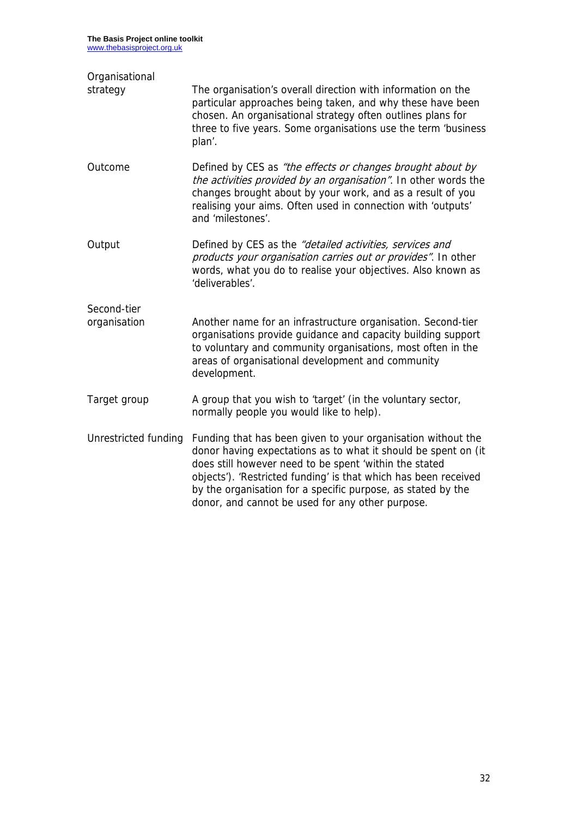| Organisational<br>strategy  | The organisation's overall direction with information on the<br>particular approaches being taken, and why these have been<br>chosen. An organisational strategy often outlines plans for<br>three to five years. Some organisations use the term 'business<br>plan'.                                                                                                           |
|-----------------------------|---------------------------------------------------------------------------------------------------------------------------------------------------------------------------------------------------------------------------------------------------------------------------------------------------------------------------------------------------------------------------------|
| Outcome                     | Defined by CES as "the effects or changes brought about by<br>the activities provided by an organisation". In other words the<br>changes brought about by your work, and as a result of you<br>realising your aims. Often used in connection with 'outputs'<br>and 'milestones'.                                                                                                |
| Output                      | Defined by CES as the "detailed activities, services and<br>products your organisation carries out or provides". In other<br>words, what you do to realise your objectives. Also known as<br>'deliverables'.                                                                                                                                                                    |
| Second-tier<br>organisation | Another name for an infrastructure organisation. Second-tier<br>organisations provide guidance and capacity building support<br>to voluntary and community organisations, most often in the<br>areas of organisational development and community<br>development.                                                                                                                |
| Target group                | A group that you wish to 'target' (in the voluntary sector,<br>normally people you would like to help).                                                                                                                                                                                                                                                                         |
| Unrestricted funding        | Funding that has been given to your organisation without the<br>donor having expectations as to what it should be spent on (it<br>does still however need to be spent 'within the stated<br>objects'). 'Restricted funding' is that which has been received<br>by the organisation for a specific purpose, as stated by the<br>donor, and cannot be used for any other purpose. |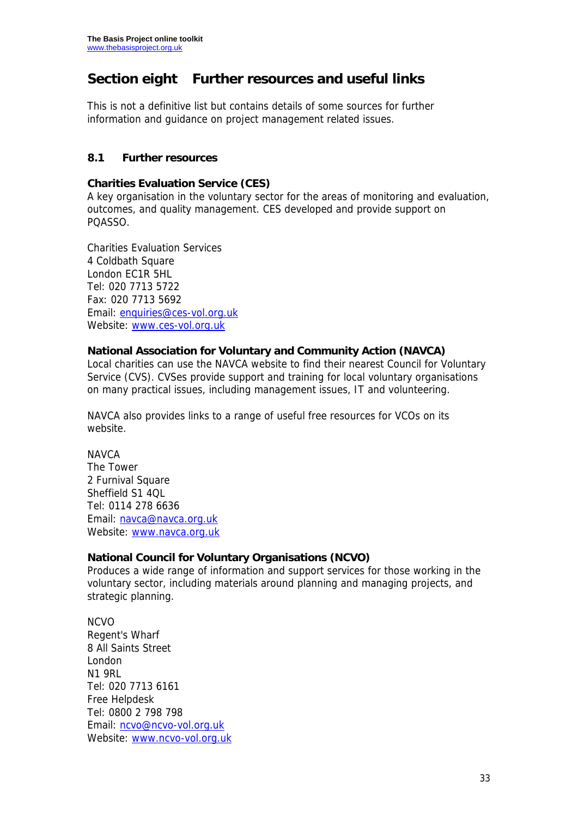## **Section eight Further resources and useful links**

This is not a definitive list but contains details of some sources for further information and guidance on project management related issues.

### **8.1 Further resources**

#### **Charities Evaluation Service (CES)**

A key organisation in the voluntary sector for the areas of monitoring and evaluation, outcomes, and quality management. CES developed and provide support on PQASSO.

Charities Evaluation Services 4 Coldbath Square London EC1R 5HL Tel: 020 7713 5722 Fax: 020 7713 5692 Email: enquiries@ces-vol.org.uk Website: www.ces-vol.org.uk

### **National Association for Voluntary and Community Action (NAVCA)**

Local charities can use the NAVCA website to find their nearest Council for Voluntary Service (CVS). CVSes provide support and training for local voluntary organisations on many practical issues, including management issues, IT and volunteering.

NAVCA also provides links to a range of useful free resources for VCOs on its website.

#### **NAVCA**

The Tower 2 Furnival Square Sheffield S1 4QL Tel: 0114 278 6636 Email: navca@navca.org.uk Website: www.navca.org.uk

#### **National Council for Voluntary Organisations (NCVO)**

Produces a wide range of information and support services for those working in the voluntary sector, including materials around planning and managing projects, and strategic planning.

NCVO Regent's Wharf 8 All Saints Street London N1 9RL Tel: 020 7713 6161 Free Helpdesk Tel: 0800 2 798 798 Email: ncvo@ncvo-vol.org.uk Website: www.ncvo-vol.org.uk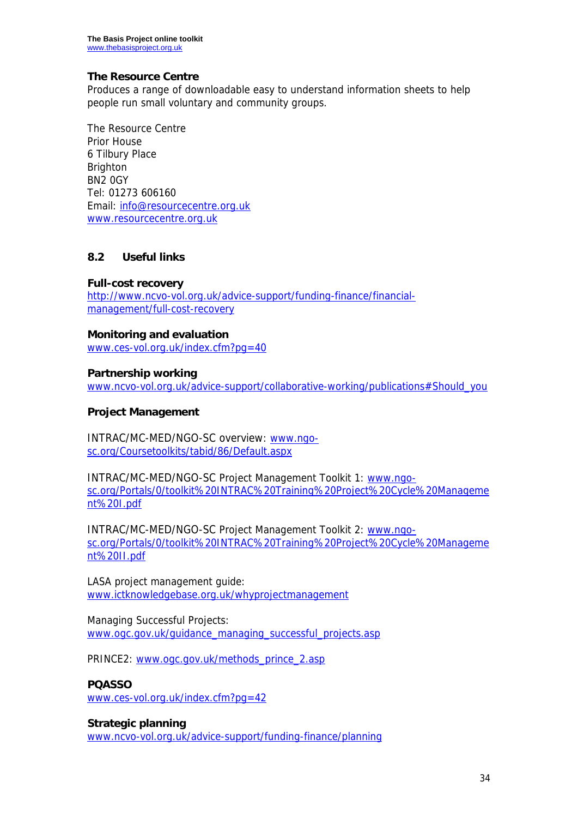#### **The Resource Centre**

Produces a range of downloadable easy to understand information sheets to help people run small voluntary and community groups.

The Resource Centre Prior House 6 Tilbury Place Brighton BN2 0GY Tel: 01273 606160 Email: info@resourcecentre.org.uk www.resourcecentre.org.uk

#### **8.2 Useful links**

#### **Full-cost recovery**

http://www.ncvo-vol.org.uk/advice-support/funding-finance/financialmanagement/full-cost-recovery

#### **Monitoring and evaluation**

www.ces-vol.org.uk/index.cfm?pg=40

#### **Partnership working**

www.ncvo-vol.org.uk/advice-support/collaborative-working/publications#Should\_you

#### **Project Management**

INTRAC/MC-MED/NGO-SC overview: www.ngosc.org/Coursetoolkits/tabid/86/Default.aspx

INTRAC/MC-MED/NGO-SC Project Management Toolkit 1: www.ngosc.org/Portals/0/toolkit%20INTRAC%20Training%20Project%20Cycle%20Manageme nt%20I.pdf

INTRAC/MC-MED/NGO-SC Project Management Toolkit 2: www.ngosc.org/Portals/0/toolkit%20INTRAC%20Training%20Project%20Cycle%20Manageme nt%20II.pdf

LASA project management guide: www.ictknowledgebase.org.uk/whyprojectmanagement

Managing Successful Projects: www.ogc.gov.uk/guidance\_managing\_successful\_projects.asp

PRINCE2: www.ogc.gov.uk/methods\_prince\_2.asp

#### **PQASSO**

www.ces-vol.org.uk/index.cfm?pg=42

**Strategic planning**  www.ncvo-vol.org.uk/advice-support/funding-finance/planning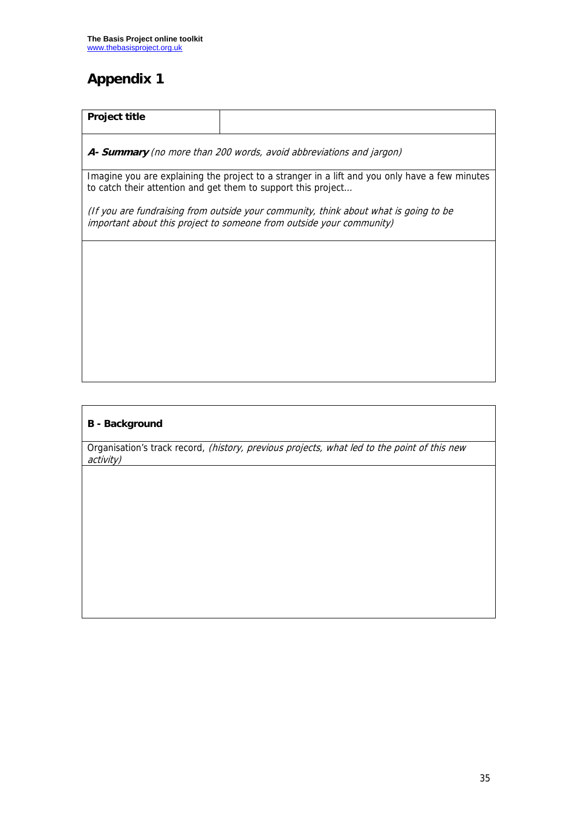# **Appendix 1**

| <b>Project title</b>                                                                                                                                            |  |  |  |  |
|-----------------------------------------------------------------------------------------------------------------------------------------------------------------|--|--|--|--|
| A- Summary (no more than 200 words, avoid abbreviations and jargon)                                                                                             |  |  |  |  |
| Imagine you are explaining the project to a stranger in a lift and you only have a few minutes<br>to catch their attention and get them to support this project |  |  |  |  |
| (If you are fundraising from outside your community, think about what is going to be<br>important about this project to someone from outside your community)    |  |  |  |  |
|                                                                                                                                                                 |  |  |  |  |
|                                                                                                                                                                 |  |  |  |  |
|                                                                                                                                                                 |  |  |  |  |
|                                                                                                                                                                 |  |  |  |  |

### **B - Background**

Organisation's track record, (history, previous projects, what led to the point of this new activity)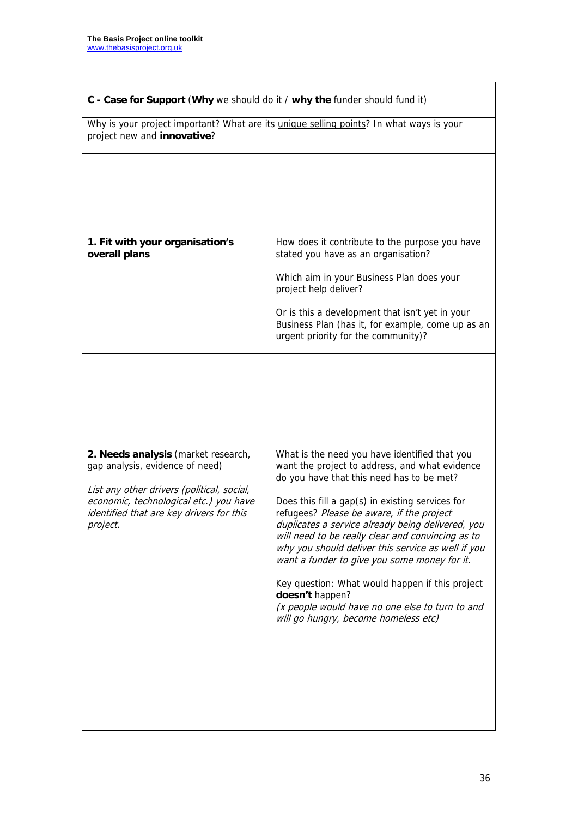| Why is your project important? What are its <i>unique selling points</i> ? In what ways is your<br>project new and innovative?               |                                                                                                                                                                                                                                                                                                               |  |
|----------------------------------------------------------------------------------------------------------------------------------------------|---------------------------------------------------------------------------------------------------------------------------------------------------------------------------------------------------------------------------------------------------------------------------------------------------------------|--|
|                                                                                                                                              |                                                                                                                                                                                                                                                                                                               |  |
| 1. Fit with your organisation's<br>overall plans                                                                                             | How does it contribute to the purpose you have<br>stated you have as an organisation?                                                                                                                                                                                                                         |  |
|                                                                                                                                              | Which aim in your Business Plan does your<br>project help deliver?                                                                                                                                                                                                                                            |  |
|                                                                                                                                              | Or is this a development that isn't yet in your<br>Business Plan (has it, for example, come up as an<br>urgent priority for the community)?                                                                                                                                                                   |  |
| 2. Needs analysis (market research,<br>gap analysis, evidence of need)                                                                       | What is the need you have identified that you<br>want the project to address, and what evidence<br>do you have that this need has to be met?                                                                                                                                                                  |  |
| List any other drivers (political, social,<br>economic, technological etc.) you have<br>identified that are key drivers for this<br>project. | Does this fill a gap(s) in existing services for<br>refugees? Please be aware, if the project<br>duplicates a service already being delivered, you<br>will need to be really clear and convincing as to<br>why you should deliver this service as well if you<br>want a funder to give you some money for it. |  |
|                                                                                                                                              | Key question: What would happen if this project<br>doesn't happen?<br>(x people would have no one else to turn to and<br>will go hungry, become homeless etc)                                                                                                                                                 |  |
|                                                                                                                                              |                                                                                                                                                                                                                                                                                                               |  |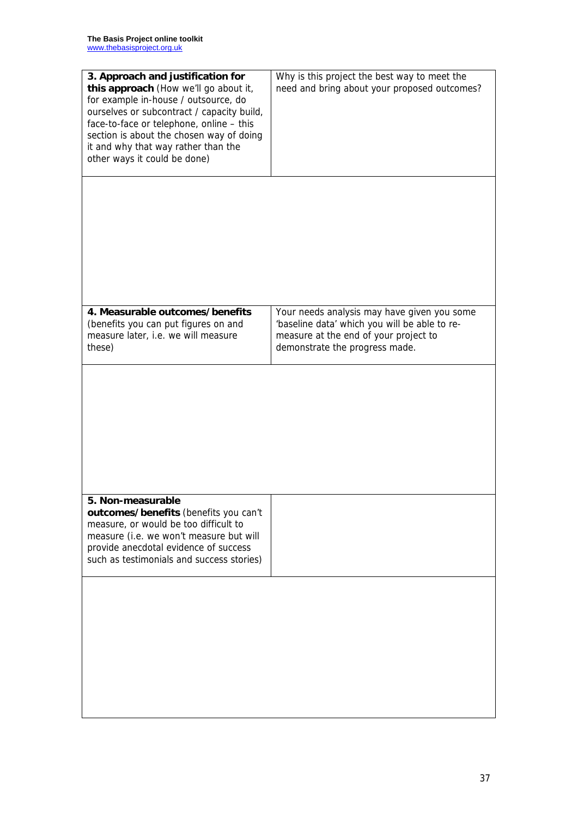| 3. Approach and justification for<br>this approach (How we'll go about it,<br>for example in-house / outsource, do<br>ourselves or subcontract / capacity build,<br>face-to-face or telephone, online - this<br>section is about the chosen way of doing<br>it and why that way rather than the<br>other ways it could be done) | Why is this project the best way to meet the<br>need and bring about your proposed outcomes?                                                                            |
|---------------------------------------------------------------------------------------------------------------------------------------------------------------------------------------------------------------------------------------------------------------------------------------------------------------------------------|-------------------------------------------------------------------------------------------------------------------------------------------------------------------------|
|                                                                                                                                                                                                                                                                                                                                 |                                                                                                                                                                         |
| 4. Measurable outcomes/benefits<br>(benefits you can put figures on and<br>measure later, i.e. we will measure<br>these)                                                                                                                                                                                                        | Your needs analysis may have given you some<br>'baseline data' which you will be able to re-<br>measure at the end of your project to<br>demonstrate the progress made. |
|                                                                                                                                                                                                                                                                                                                                 |                                                                                                                                                                         |
| 5. Non-measurable<br>outcomes/benefits (benefits you can't<br>measure, or would be too difficult to<br>measure (i.e. we won't measure but will<br>provide anecdotal evidence of success<br>such as testimonials and success stories)                                                                                            |                                                                                                                                                                         |
|                                                                                                                                                                                                                                                                                                                                 |                                                                                                                                                                         |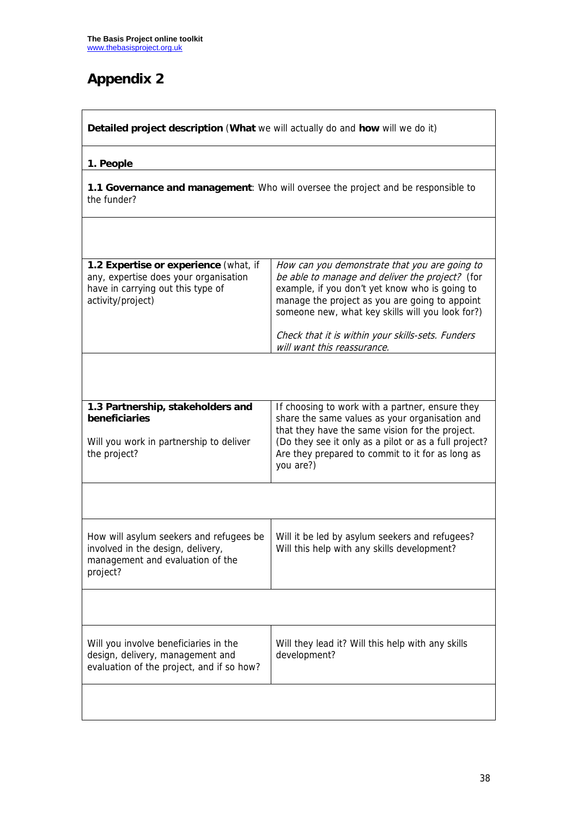# **Appendix 2**

| Detailed project description (What we will actually do and how will we do it)                                                            |                                                                                                                                                                                                                                                                                |  |  |
|------------------------------------------------------------------------------------------------------------------------------------------|--------------------------------------------------------------------------------------------------------------------------------------------------------------------------------------------------------------------------------------------------------------------------------|--|--|
| 1. People                                                                                                                                |                                                                                                                                                                                                                                                                                |  |  |
| the funder?                                                                                                                              | 1.1 Governance and management: Who will oversee the project and be responsible to                                                                                                                                                                                              |  |  |
|                                                                                                                                          |                                                                                                                                                                                                                                                                                |  |  |
| 1.2 Expertise or experience (what, if<br>any, expertise does your organisation<br>have in carrying out this type of<br>activity/project) | How can you demonstrate that you are going to<br>be able to manage and deliver the project? (for<br>example, if you don't yet know who is going to<br>manage the project as you are going to appoint<br>someone new, what key skills will you look for?)                       |  |  |
|                                                                                                                                          | Check that it is within your skills-sets. Funders<br>will want this reassurance.                                                                                                                                                                                               |  |  |
| 1.3 Partnership, stakeholders and<br>beneficiaries<br>Will you work in partnership to deliver<br>the project?                            | If choosing to work with a partner, ensure they<br>share the same values as your organisation and<br>that they have the same vision for the project.<br>(Do they see it only as a pilot or as a full project?<br>Are they prepared to commit to it for as long as<br>you are?) |  |  |
|                                                                                                                                          |                                                                                                                                                                                                                                                                                |  |  |
| How will asylum seekers and refugees be<br>involved in the design, delivery,<br>management and evaluation of the<br>project?             | Will it be led by asylum seekers and refugees?<br>Will this help with any skills development?                                                                                                                                                                                  |  |  |
|                                                                                                                                          |                                                                                                                                                                                                                                                                                |  |  |
| Will you involve beneficiaries in the<br>design, delivery, management and<br>evaluation of the project, and if so how?                   | Will they lead it? Will this help with any skills<br>development?                                                                                                                                                                                                              |  |  |
|                                                                                                                                          |                                                                                                                                                                                                                                                                                |  |  |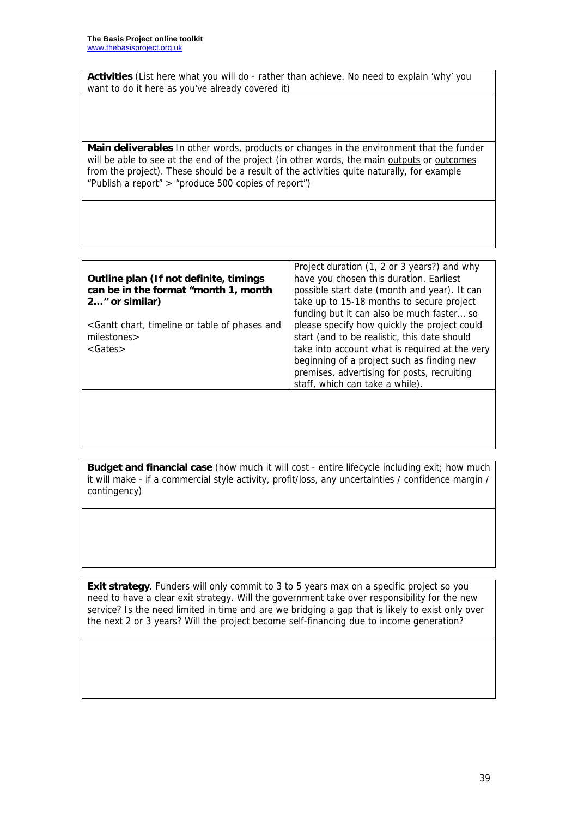**Activities** (List here what you will do - rather than achieve. No need to explain 'why' you want to do it here as you've already covered it)

**Main deliverables** In other words, products or changes in the environment that the funder will be able to see at the end of the project (in other words, the main outputs or outcomes from the project). These should be a result of the activities quite naturally, for example "Publish a report" > "produce 500 copies of report")

|                                                                                                                                         | Project duration (1, 2 or 3 years?) and why    |
|-----------------------------------------------------------------------------------------------------------------------------------------|------------------------------------------------|
| Outline plan (If not definite, timings                                                                                                  | have you chosen this duration. Earliest        |
| can be in the format "month 1, month                                                                                                    | possible start date (month and year). It can   |
| 2" or similar)                                                                                                                          | take up to 15-18 months to secure project      |
|                                                                                                                                         | funding but it can also be much faster so      |
| <gantt and<="" chart,="" of="" or="" phases="" table="" th="" timeline=""><th>please specify how quickly the project could</th></gantt> | please specify how quickly the project could   |
| milestones>                                                                                                                             | start (and to be realistic, this date should   |
| $<$ Gates $>$                                                                                                                           | take into account what is required at the very |
|                                                                                                                                         | beginning of a project such as finding new     |
|                                                                                                                                         | premises, advertising for posts, recruiting    |
|                                                                                                                                         | staff, which can take a while).                |
|                                                                                                                                         |                                                |

**Budget and financial case** (how much it will cost - entire lifecycle including exit; how much it will make - if a commercial style activity, profit/loss, any uncertainties / confidence margin / contingency)

**Exit strategy**. Funders will only commit to 3 to 5 years max on a specific project so you need to have a clear exit strategy. Will the government take over responsibility for the new service? Is the need limited in time and are we bridging a gap that is likely to exist only over the next 2 or 3 years? Will the project become self-financing due to income generation?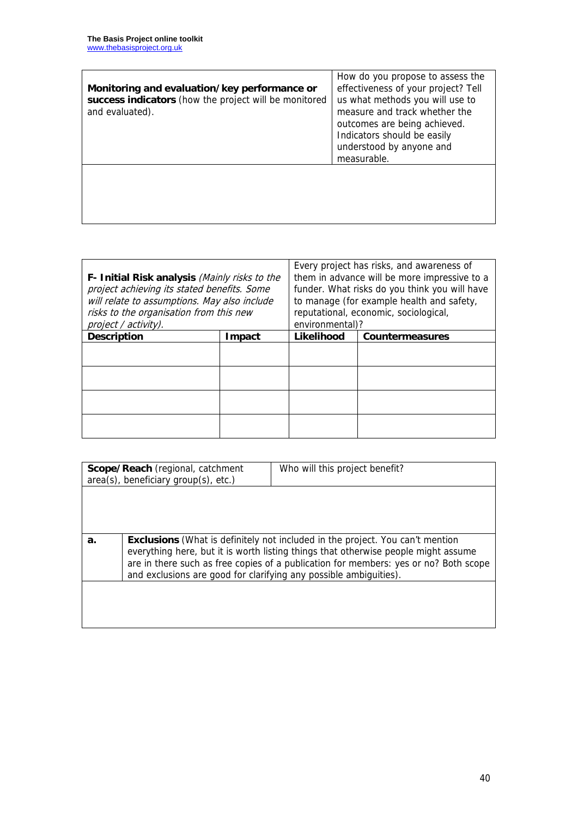| Monitoring and evaluation/key performance or<br>success indicators (how the project will be monitored<br>and evaluated). | How do you propose to assess the<br>effectiveness of your project? Tell<br>us what methods you will use to<br>measure and track whether the<br>outcomes are being achieved.<br>Indicators should be easily<br>understood by anyone and<br>measurable. |
|--------------------------------------------------------------------------------------------------------------------------|-------------------------------------------------------------------------------------------------------------------------------------------------------------------------------------------------------------------------------------------------------|
|                                                                                                                          |                                                                                                                                                                                                                                                       |

| F- Initial Risk analysis (Mainly risks to the<br>project achieving its stated benefits. Some<br>will relate to assumptions. May also include<br>risks to the organisation from this new<br>project / activity). |        | Every project has risks, and awareness of<br>them in advance will be more impressive to a<br>funder. What risks do you think you will have<br>to manage (for example health and safety,<br>reputational, economic, sociological,<br>environmental)? |  |
|-----------------------------------------------------------------------------------------------------------------------------------------------------------------------------------------------------------------|--------|-----------------------------------------------------------------------------------------------------------------------------------------------------------------------------------------------------------------------------------------------------|--|
| <b>Description</b>                                                                                                                                                                                              | Impact | Likelihood<br><b>Countermeasures</b>                                                                                                                                                                                                                |  |
|                                                                                                                                                                                                                 |        |                                                                                                                                                                                                                                                     |  |
|                                                                                                                                                                                                                 |        |                                                                                                                                                                                                                                                     |  |
|                                                                                                                                                                                                                 |        |                                                                                                                                                                                                                                                     |  |
|                                                                                                                                                                                                                 |        |                                                                                                                                                                                                                                                     |  |

| Scope/Reach (regional, catchment     |                                                                                                                                                           | Who will this project benefit?                                                       |  |
|--------------------------------------|-----------------------------------------------------------------------------------------------------------------------------------------------------------|--------------------------------------------------------------------------------------|--|
| area(s), beneficiary group(s), etc.) |                                                                                                                                                           |                                                                                      |  |
|                                      |                                                                                                                                                           |                                                                                      |  |
|                                      |                                                                                                                                                           |                                                                                      |  |
|                                      |                                                                                                                                                           |                                                                                      |  |
|                                      |                                                                                                                                                           |                                                                                      |  |
|                                      |                                                                                                                                                           |                                                                                      |  |
|                                      |                                                                                                                                                           |                                                                                      |  |
| a.                                   |                                                                                                                                                           | <b>Exclusions</b> (What is definitely not included in the project. You can't mention |  |
|                                      |                                                                                                                                                           | everything here, but it is worth listing things that otherwise people might assume   |  |
|                                      | are in there such as free copies of a publication for members: yes or no? Both scope<br>and exclusions are good for clarifying any possible ambiguities). |                                                                                      |  |
|                                      |                                                                                                                                                           |                                                                                      |  |
|                                      |                                                                                                                                                           |                                                                                      |  |
|                                      |                                                                                                                                                           |                                                                                      |  |
|                                      |                                                                                                                                                           |                                                                                      |  |
|                                      |                                                                                                                                                           |                                                                                      |  |
|                                      |                                                                                                                                                           |                                                                                      |  |
|                                      |                                                                                                                                                           |                                                                                      |  |